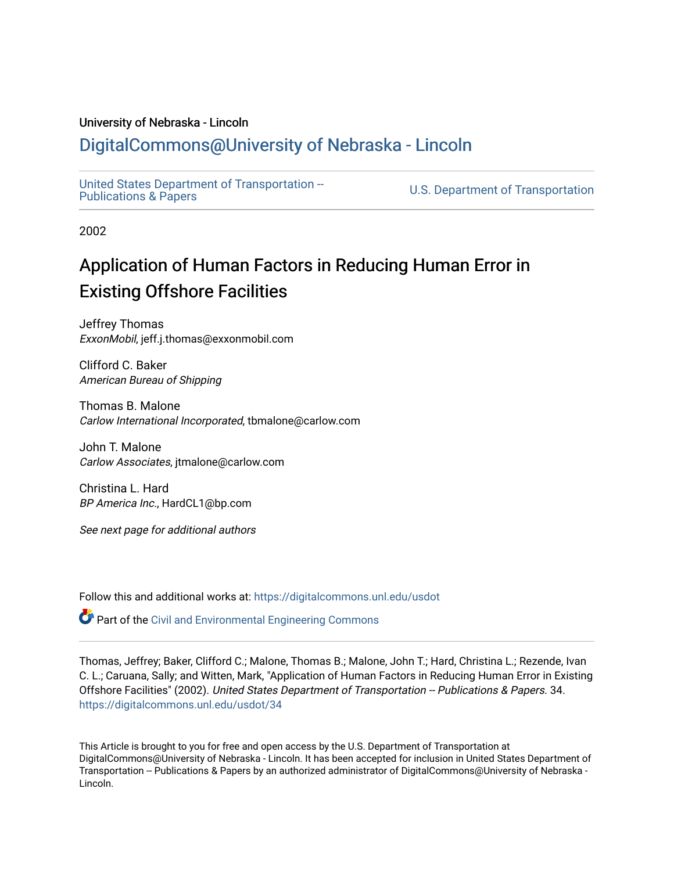### University of Nebraska - Lincoln

# [DigitalCommons@University of Nebraska - Lincoln](https://digitalcommons.unl.edu/)

[United States Department of Transportation --](https://digitalcommons.unl.edu/usdot)<br>Publications & Papers

U.S. Department of Transportation

2002

# Application of Human Factors in Reducing Human Error in Existing Offshore Facilities

Jeffrey Thomas ExxonMobil, jeff.j.thomas@exxonmobil.com

Clifford C. Baker American Bureau of Shipping

Thomas B. Malone Carlow International Incorporated, tbmalone@carlow.com

John T. Malone Carlow Associates, jtmalone@carlow.com

Christina L. Hard BP America Inc., HardCL1@bp.com

See next page for additional authors

Follow this and additional works at: [https://digitalcommons.unl.edu/usdot](https://digitalcommons.unl.edu/usdot?utm_source=digitalcommons.unl.edu%2Fusdot%2F34&utm_medium=PDF&utm_campaign=PDFCoverPages) 

Part of the [Civil and Environmental Engineering Commons](http://network.bepress.com/hgg/discipline/251?utm_source=digitalcommons.unl.edu%2Fusdot%2F34&utm_medium=PDF&utm_campaign=PDFCoverPages)

# Thomas, Jeffrey; Baker, Clifford C.; Malone, Thomas B.; Malone, John T.; Hard, Christina L.; Rezende, Ivan C. L.; Caruana, Sally; and Witten, Mark, "Application of Human Factors in Reducing Human Error in Existing Offshore Facilities" (2002). United States Department of Transportation -- Publications & Papers. 34. [https://digitalcommons.unl.edu/usdot/34](https://digitalcommons.unl.edu/usdot/34?utm_source=digitalcommons.unl.edu%2Fusdot%2F34&utm_medium=PDF&utm_campaign=PDFCoverPages)

This Article is brought to you for free and open access by the U.S. Department of Transportation at DigitalCommons@University of Nebraska - Lincoln. It has been accepted for inclusion in United States Department of Transportation -- Publications & Papers by an authorized administrator of DigitalCommons@University of Nebraska -Lincoln.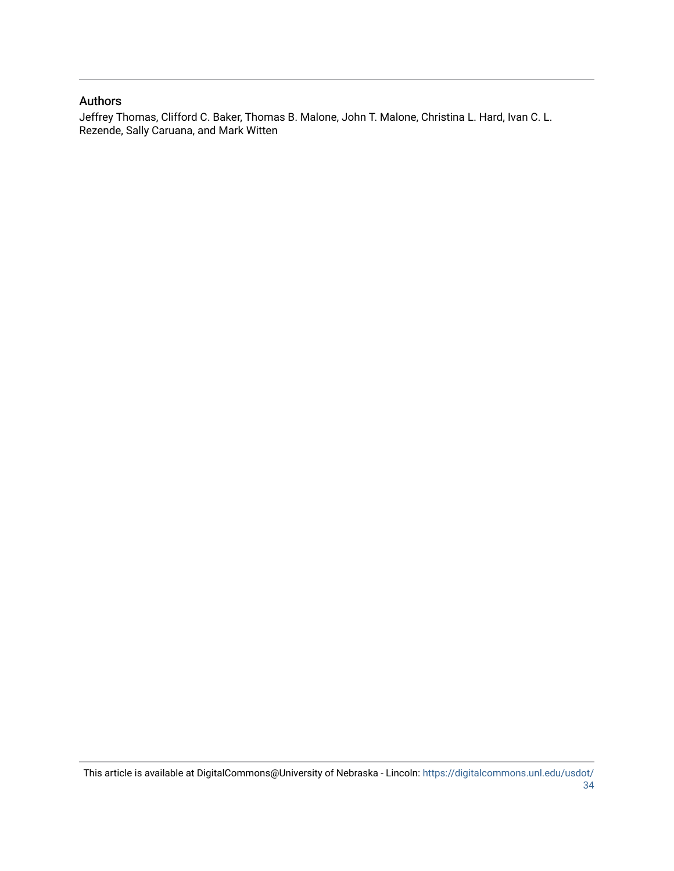### Authors

Jeffrey Thomas, Clifford C. Baker, Thomas B. Malone, John T. Malone, Christina L. Hard, Ivan C. L. Rezende, Sally Caruana, and Mark Witten

This article is available at DigitalCommons@University of Nebraska - Lincoln: [https://digitalcommons.unl.edu/usdot/](https://digitalcommons.unl.edu/usdot/34) [34](https://digitalcommons.unl.edu/usdot/34)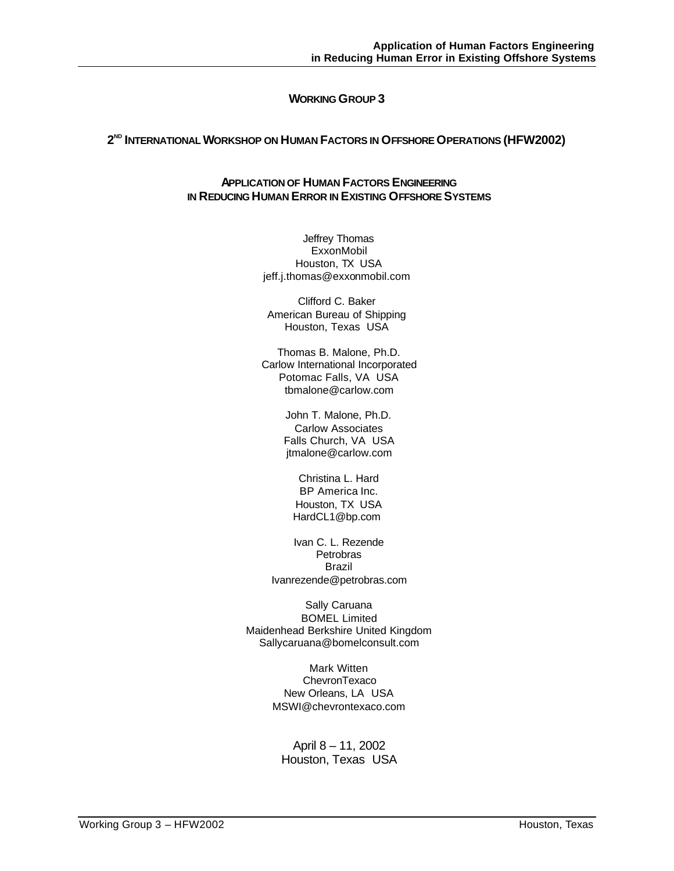### **WORKING GROUP 3**

#### **2 ND INTERNATIONAL WORKSHOP ON HUMAN FACTORS IN OFFSHORE OPERATIONS (HFW2002)**

### **APPLICATION OF HUMAN FACTORS ENGINEERING IN REDUCING HUMAN ERROR IN EXISTING OFFSHORE SYSTEMS**

Jeffrey Thomas **ExxonMobil** Houston, TX USA jeff.j.thomas@exxonmobil.com

Clifford C. Baker American Bureau of Shipping Houston, Texas USA

Thomas B. Malone, Ph.D. Carlow International Incorporated Potomac Falls, VA USA tbmalone@carlow.com

> John T. Malone, Ph.D. Carlow Associates Falls Church, VA USA jtmalone@carlow.com

Christina L. Hard BP America Inc. Houston, TX USA HardCL1@bp.com

Ivan C. L. Rezende Petrobras Brazil Ivanrezende@petrobras.com

Sally Caruana BOMEL Limited Maidenhead Berkshire United Kingdom Sallycaruana@bomelconsult.com

> Mark Witten **ChevronTexaco** New Orleans, LA USA MSWI@chevrontexaco.com

April 8 – 11, 2002 Houston, Texas USA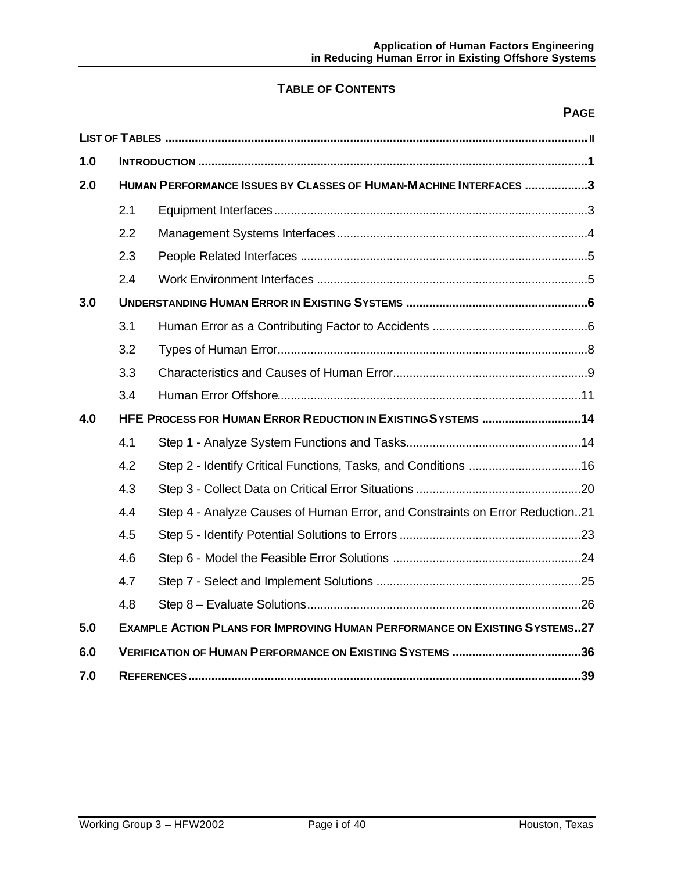# **TABLE OF CONTENTS**

# **PAGE**

| 1.0 |                                                                   |                                                                                   |  |  |  |  |
|-----|-------------------------------------------------------------------|-----------------------------------------------------------------------------------|--|--|--|--|
| 2.0 | HUMAN PERFORMANCE ISSUES BY CLASSES OF HUMAN-MACHINE INTERFACES 3 |                                                                                   |  |  |  |  |
|     | 2.1                                                               |                                                                                   |  |  |  |  |
|     | 2.2                                                               |                                                                                   |  |  |  |  |
|     | 2.3                                                               |                                                                                   |  |  |  |  |
|     | 2.4                                                               |                                                                                   |  |  |  |  |
| 3.0 |                                                                   |                                                                                   |  |  |  |  |
|     | 3.1                                                               |                                                                                   |  |  |  |  |
|     | 3.2                                                               |                                                                                   |  |  |  |  |
|     | 3.3                                                               |                                                                                   |  |  |  |  |
|     | 3.4                                                               |                                                                                   |  |  |  |  |
| 4.0 |                                                                   | HFE PROCESS FOR HUMAN ERROR REDUCTION IN EXISTING SYSTEMS 14                      |  |  |  |  |
|     | 4.1                                                               |                                                                                   |  |  |  |  |
|     | 4.2                                                               |                                                                                   |  |  |  |  |
|     | 4.3                                                               |                                                                                   |  |  |  |  |
|     | 4.4                                                               | Step 4 - Analyze Causes of Human Error, and Constraints on Error Reduction21      |  |  |  |  |
|     | 4.5                                                               |                                                                                   |  |  |  |  |
|     | 4.6                                                               |                                                                                   |  |  |  |  |
|     | 4.7                                                               |                                                                                   |  |  |  |  |
|     | 4.8                                                               |                                                                                   |  |  |  |  |
| 5.0 |                                                                   | <b>EXAMPLE ACTION PLANS FOR IMPROVING HUMAN PERFORMANCE ON EXISTING SYSTEMS27</b> |  |  |  |  |
| 6.0 |                                                                   |                                                                                   |  |  |  |  |
| 7.0 |                                                                   |                                                                                   |  |  |  |  |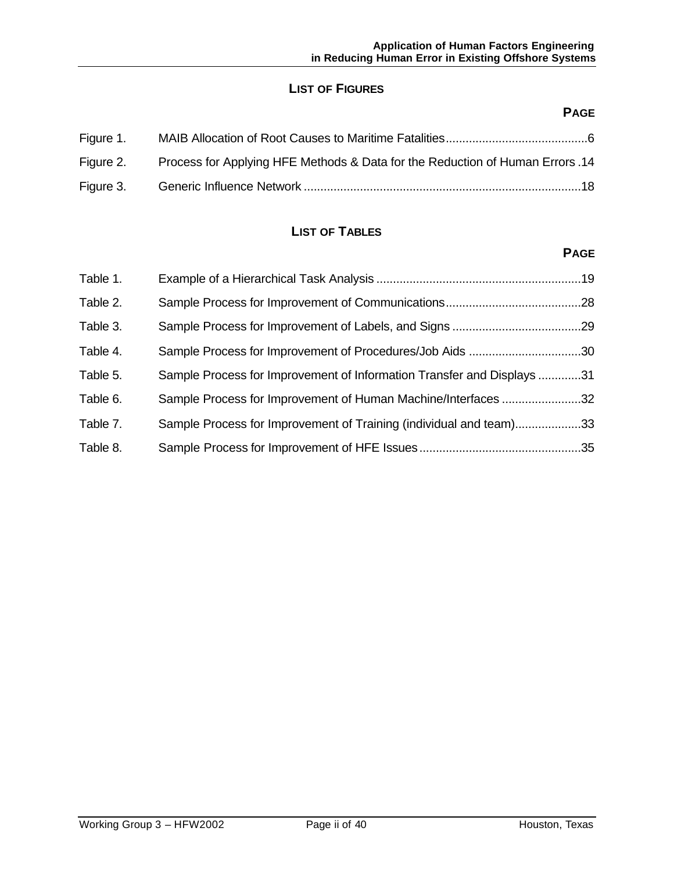# **LIST OF FIGURES**

# **PAGE**

| Figure 1. |                                                                               |  |
|-----------|-------------------------------------------------------------------------------|--|
| Figure 2. | Process for Applying HFE Methods & Data for the Reduction of Human Errors .14 |  |
| Figure 3. |                                                                               |  |

# **LIST OF TABLES**

# **PAGE**

| Table 1. |                                                                        |  |
|----------|------------------------------------------------------------------------|--|
| Table 2. |                                                                        |  |
| Table 3. |                                                                        |  |
| Table 4. | Sample Process for Improvement of Procedures/Job Aids 30               |  |
| Table 5. | Sample Process for Improvement of Information Transfer and Displays 31 |  |
| Table 6. | Sample Process for Improvement of Human Machine/Interfaces 32          |  |
| Table 7. | Sample Process for Improvement of Training (individual and team)33     |  |
| Table 8. |                                                                        |  |
|          |                                                                        |  |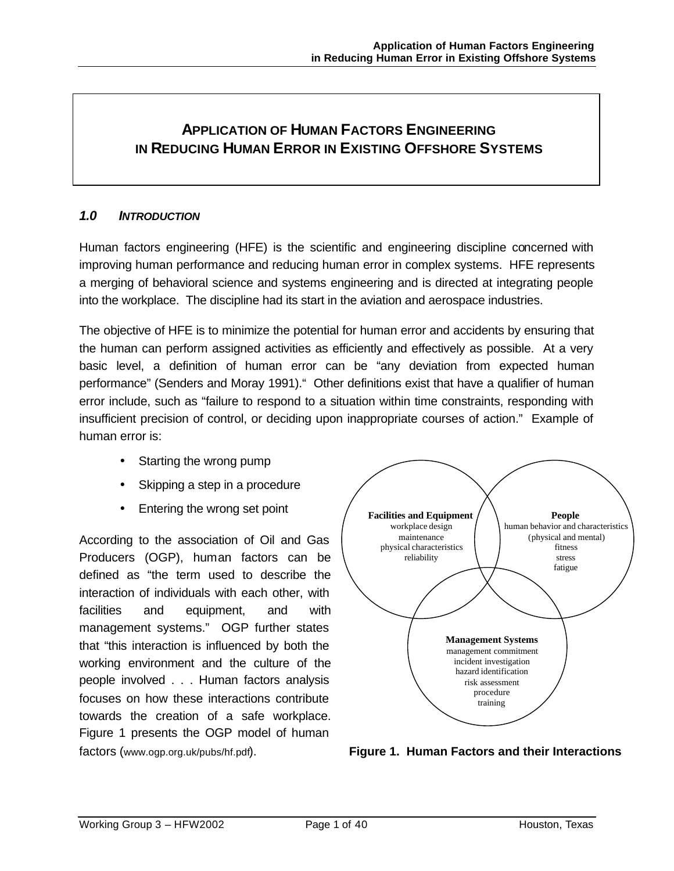# **APPLICATION OF HUMAN FACTORS ENGINEERING IN REDUCING HUMAN ERROR IN EXISTING OFFSHORE SYSTEMS**

# *1.0 INTRODUCTION*

Human factors engineering (HFE) is the scientific and engineering discipline concerned with improving human performance and reducing human error in complex systems. HFE represents a merging of behavioral science and systems engineering and is directed at integrating people into the workplace. The discipline had its start in the aviation and aerospace industries.

The objective of HFE is to minimize the potential for human error and accidents by ensuring that the human can perform assigned activities as efficiently and effectively as possible. At a very basic level, a definition of human error can be "any deviation from expected human performance" (Senders and Moray 1991)." Other definitions exist that have a qualifier of human error include, such as "failure to respond to a situation within time constraints, responding with insufficient precision of control, or deciding upon inappropriate courses of action." Example of human error is:

- Starting the wrong pump
- Skipping a step in a procedure
- Entering the wrong set point

According to the association of Oil and Gas Producers (OGP), human factors can be defined as "the term used to describe the interaction of individuals with each other, with facilities and equipment, and with management systems." OGP further states that "this interaction is influenced by both the working environment and the culture of the people involved . . . Human factors analysis focuses on how these interactions contribute towards the creation of a safe workplace. Figure 1 presents the OGP model of human factors (www.ogp.org.uk/pubs/hf.pdf).



**Figure 1. Human Factors and their Interactions**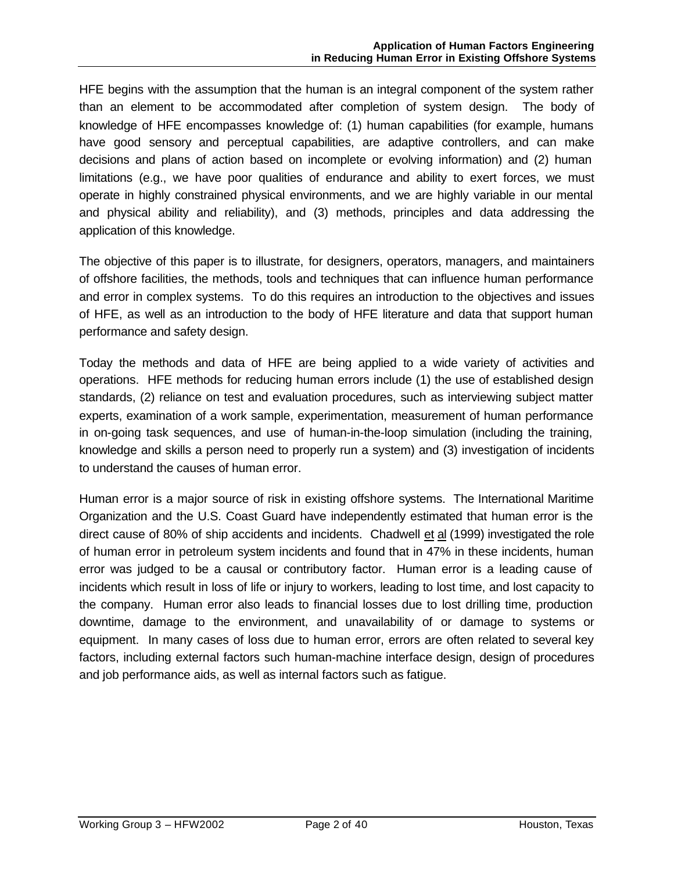HFE begins with the assumption that the human is an integral component of the system rather than an element to be accommodated after completion of system design. The body of knowledge of HFE encompasses knowledge of: (1) human capabilities (for example, humans have good sensory and perceptual capabilities, are adaptive controllers, and can make decisions and plans of action based on incomplete or evolving information) and (2) human limitations (e.g., we have poor qualities of endurance and ability to exert forces, we must operate in highly constrained physical environments, and we are highly variable in our mental and physical ability and reliability), and (3) methods, principles and data addressing the application of this knowledge.

The objective of this paper is to illustrate, for designers, operators, managers, and maintainers of offshore facilities, the methods, tools and techniques that can influence human performance and error in complex systems. To do this requires an introduction to the objectives and issues of HFE, as well as an introduction to the body of HFE literature and data that support human performance and safety design.

Today the methods and data of HFE are being applied to a wide variety of activities and operations. HFE methods for reducing human errors include (1) the use of established design standards, (2) reliance on test and evaluation procedures, such as interviewing subject matter experts, examination of a work sample, experimentation, measurement of human performance in on-going task sequences, and use of human-in-the-loop simulation (including the training, knowledge and skills a person need to properly run a system) and (3) investigation of incidents to understand the causes of human error.

Human error is a major source of risk in existing offshore systems. The International Maritime Organization and the U.S. Coast Guard have independently estimated that human error is the direct cause of 80% of ship accidents and incidents. Chadwell et al (1999) investigated the role of human error in petroleum system incidents and found that in 47% in these incidents, human error was judged to be a causal or contributory factor. Human error is a leading cause of incidents which result in loss of life or injury to workers, leading to lost time, and lost capacity to the company. Human error also leads to financial losses due to lost drilling time, production downtime, damage to the environment, and unavailability of or damage to systems or equipment. In many cases of loss due to human error, errors are often related to several key factors, including external factors such human-machine interface design, design of procedures and job performance aids, as well as internal factors such as fatigue.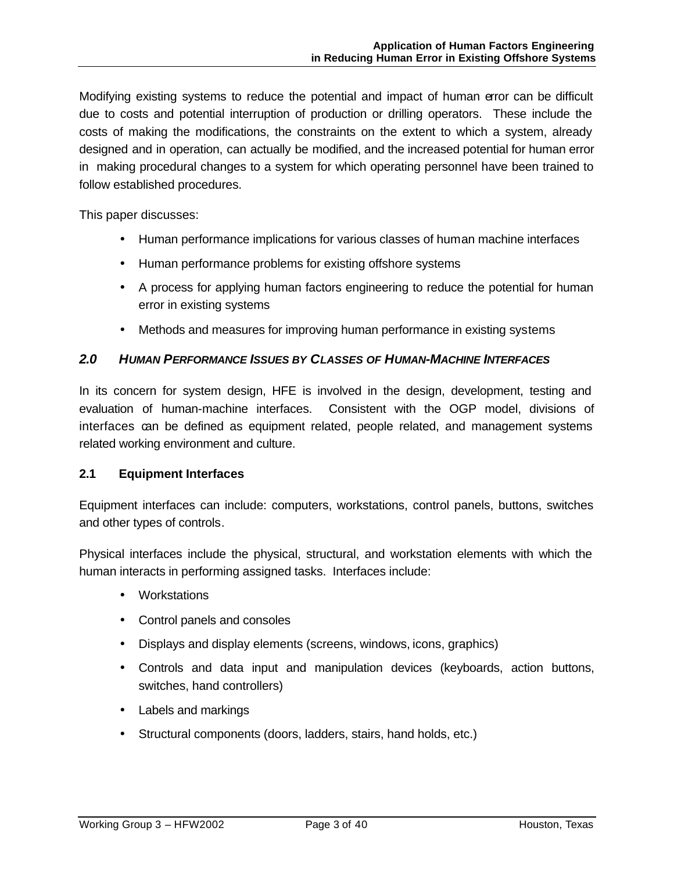Modifying existing systems to reduce the potential and impact of human error can be difficult due to costs and potential interruption of production or drilling operators. These include the costs of making the modifications, the constraints on the extent to which a system, already designed and in operation, can actually be modified, and the increased potential for human error in making procedural changes to a system for which operating personnel have been trained to follow established procedures.

This paper discusses:

- Human performance implications for various classes of human machine interfaces
- Human performance problems for existing offshore systems
- A process for applying human factors engineering to reduce the potential for human error in existing systems
- Methods and measures for improving human performance in existing systems

### *2.0 HUMAN PERFORMANCE ISSUES BY CLASSES OF HUMAN-MACHINE INTERFACES*

In its concern for system design, HFE is involved in the design, development, testing and evaluation of human-machine interfaces. Consistent with the OGP model, divisions of interfaces can be defined as equipment related, people related, and management systems related working environment and culture.

### **2.1 Equipment Interfaces**

Equipment interfaces can include: computers, workstations, control panels, buttons, switches and other types of controls.

Physical interfaces include the physical, structural, and workstation elements with which the human interacts in performing assigned tasks. Interfaces include:

- Workstations
- Control panels and consoles
- Displays and display elements (screens, windows, icons, graphics)
- Controls and data input and manipulation devices (keyboards, action buttons, switches, hand controllers)
- Labels and markings
- Structural components (doors, ladders, stairs, hand holds, etc.)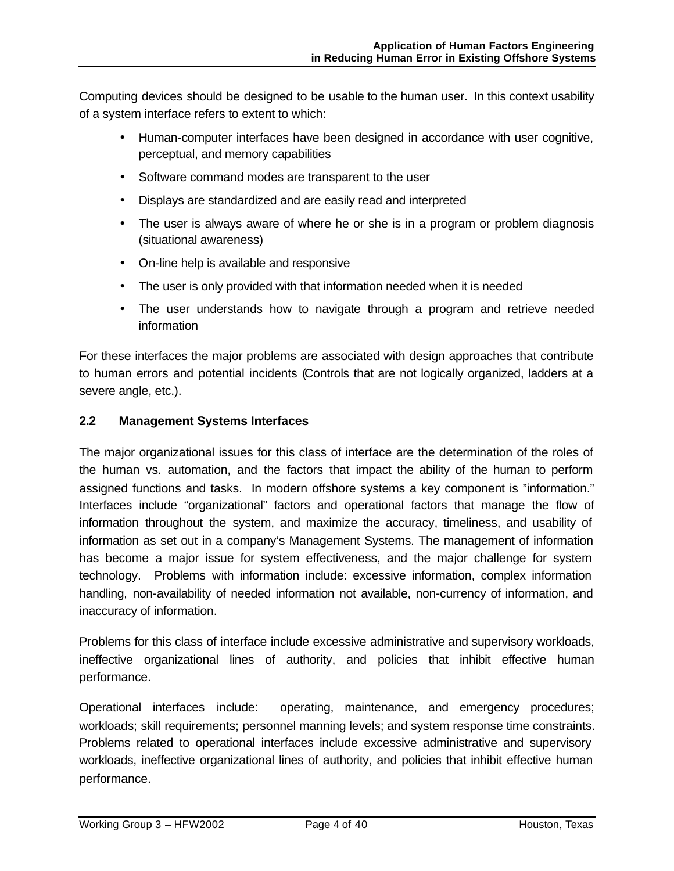Computing devices should be designed to be usable to the human user. In this context usability of a system interface refers to extent to which:

- Human-computer interfaces have been designed in accordance with user cognitive, perceptual, and memory capabilities
- Software command modes are transparent to the user
- Displays are standardized and are easily read and interpreted
- The user is always aware of where he or she is in a program or problem diagnosis (situational awareness)
- On-line help is available and responsive
- The user is only provided with that information needed when it is needed
- The user understands how to navigate through a program and retrieve needed information

For these interfaces the major problems are associated with design approaches that contribute to human errors and potential incidents (Controls that are not logically organized, ladders at a severe angle, etc.).

# **2.2 Management Systems Interfaces**

The major organizational issues for this class of interface are the determination of the roles of the human vs. automation, and the factors that impact the ability of the human to perform assigned functions and tasks. In modern offshore systems a key component is "information." Interfaces include "organizational" factors and operational factors that manage the flow of information throughout the system, and maximize the accuracy, timeliness, and usability of information as set out in a company's Management Systems. The management of information has become a major issue for system effectiveness, and the major challenge for system technology. Problems with information include: excessive information, complex information handling, non-availability of needed information not available, non-currency of information, and inaccuracy of information.

Problems for this class of interface include excessive administrative and supervisory workloads, ineffective organizational lines of authority, and policies that inhibit effective human performance.

Operational interfaces include: operating, maintenance, and emergency procedures; workloads; skill requirements; personnel manning levels; and system response time constraints. Problems related to operational interfaces include excessive administrative and supervisory workloads, ineffective organizational lines of authority, and policies that inhibit effective human performance.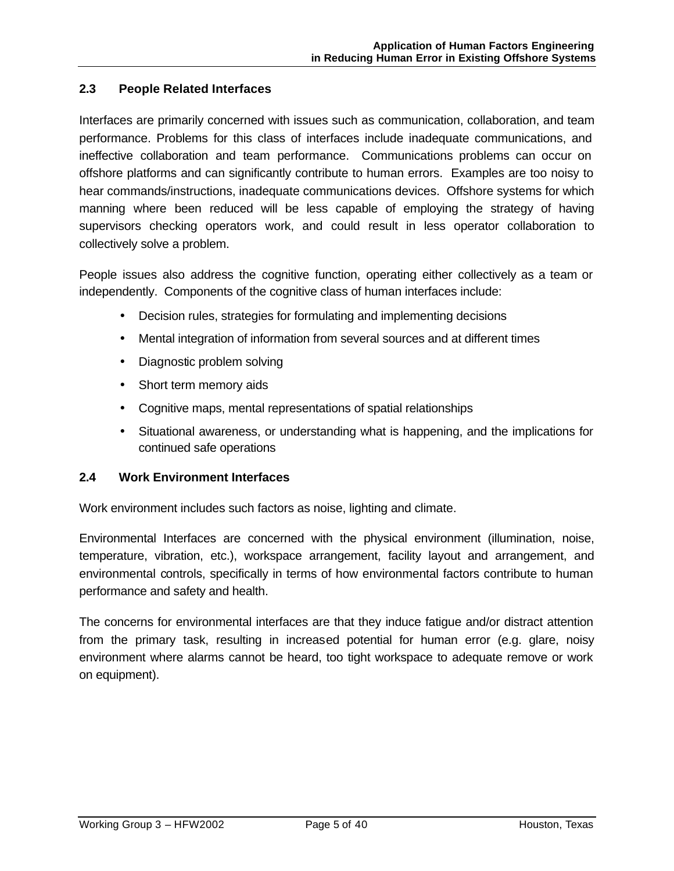### **2.3 People Related Interfaces**

Interfaces are primarily concerned with issues such as communication, collaboration, and team performance. Problems for this class of interfaces include inadequate communications, and ineffective collaboration and team performance. Communications problems can occur on offshore platforms and can significantly contribute to human errors. Examples are too noisy to hear commands/instructions, inadequate communications devices. Offshore systems for which manning where been reduced will be less capable of employing the strategy of having supervisors checking operators work, and could result in less operator collaboration to collectively solve a problem.

People issues also address the cognitive function, operating either collectively as a team or independently. Components of the cognitive class of human interfaces include:

- Decision rules, strategies for formulating and implementing decisions
- Mental integration of information from several sources and at different times
- Diagnostic problem solving
- Short term memory aids
- Cognitive maps, mental representations of spatial relationships
- Situational awareness, or understanding what is happening, and the implications for continued safe operations

### **2.4 Work Environment Interfaces**

Work environment includes such factors as noise, lighting and climate.

Environmental Interfaces are concerned with the physical environment (illumination, noise, temperature, vibration, etc.), workspace arrangement, facility layout and arrangement, and environmental controls, specifically in terms of how environmental factors contribute to human performance and safety and health.

The concerns for environmental interfaces are that they induce fatigue and/or distract attention from the primary task, resulting in increased potential for human error (e.g. glare, noisy environment where alarms cannot be heard, too tight workspace to adequate remove or work on equipment).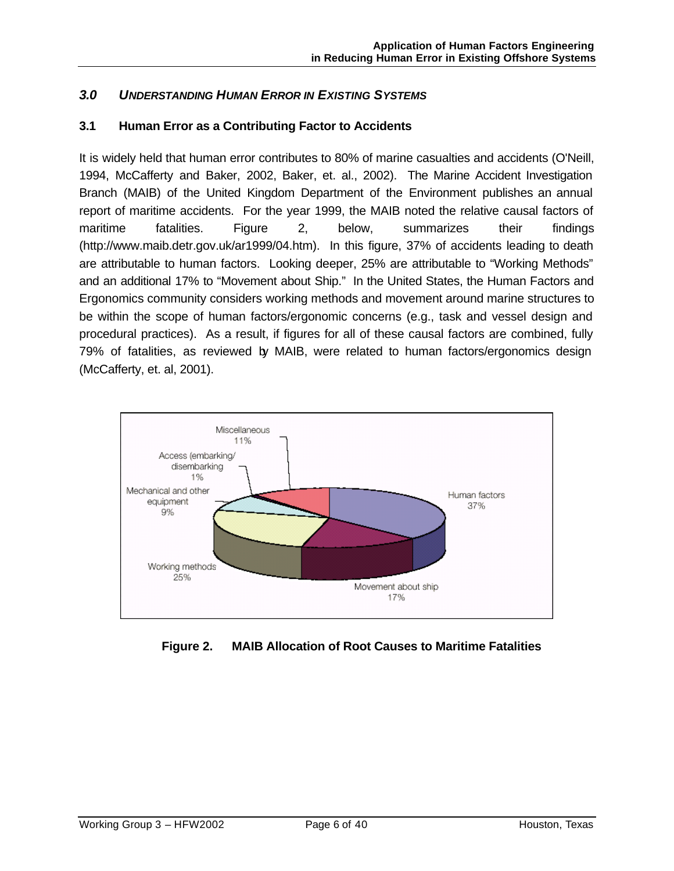# *3.0 UNDERSTANDING HUMAN ERROR IN EXISTING SYSTEMS*

# **3.1 Human Error as a Contributing Factor to Accidents**

It is widely held that human error contributes to 80% of marine casualties and accidents (O'Neill, 1994, McCafferty and Baker, 2002, Baker, et. al., 2002). The Marine Accident Investigation Branch (MAIB) of the United Kingdom Department of the Environment publishes an annual report of maritime accidents. For the year 1999, the MAIB noted the relative causal factors of maritime fatalities. Figure 2, below, summarizes their findings (http://www.maib.detr.gov.uk/ar1999/04.htm). In this figure, 37% of accidents leading to death are attributable to human factors. Looking deeper, 25% are attributable to "Working Methods" and an additional 17% to "Movement about Ship." In the United States, the Human Factors and Ergonomics community considers working methods and movement around marine structures to be within the scope of human factors/ergonomic concerns (e.g., task and vessel design and procedural practices). As a result, if figures for all of these causal factors are combined, fully 79% of fatalities, as reviewed by MAIB, were related to human factors/ergonomics design (McCafferty, et. al, 2001).



# **Figure 2. MAIB Allocation of Root Causes to Maritime Fatalities**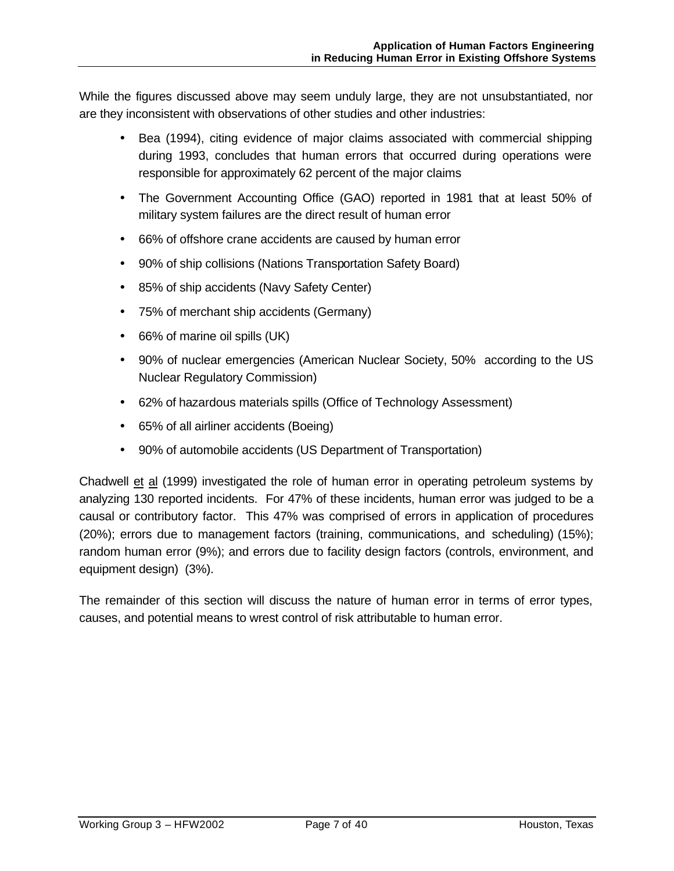While the figures discussed above may seem unduly large, they are not unsubstantiated, nor are they inconsistent with observations of other studies and other industries:

- Bea (1994), citing evidence of major claims associated with commercial shipping during 1993, concludes that human errors that occurred during operations were responsible for approximately 62 percent of the major claims
- The Government Accounting Office (GAO) reported in 1981 that at least 50% of military system failures are the direct result of human error
- 66% of offshore crane accidents are caused by human error
- 90% of ship collisions (Nations Transportation Safety Board)
- 85% of ship accidents (Navy Safety Center)
- 75% of merchant ship accidents (Germany)
- 66% of marine oil spills (UK)
- 90% of nuclear emergencies (American Nuclear Society, 50% according to the US Nuclear Regulatory Commission)
- 62% of hazardous materials spills (Office of Technology Assessment)
- 65% of all airliner accidents (Boeing)
- 90% of automobile accidents (US Department of Transportation)

Chadwell et al (1999) investigated the role of human error in operating petroleum systems by analyzing 130 reported incidents. For 47% of these incidents, human error was judged to be a causal or contributory factor. This 47% was comprised of errors in application of procedures (20%); errors due to management factors (training, communications, and scheduling) (15%); random human error (9%); and errors due to facility design factors (controls, environment, and equipment design) (3%).

The remainder of this section will discuss the nature of human error in terms of error types, causes, and potential means to wrest control of risk attributable to human error.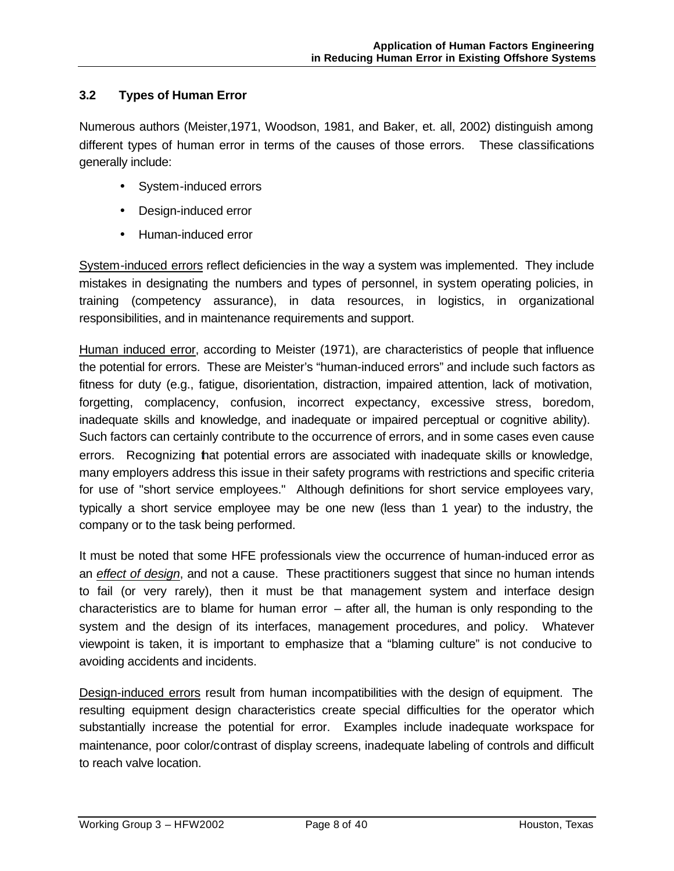# **3.2 Types of Human Error**

Numerous authors (Meister,1971, Woodson, 1981, and Baker, et. all, 2002) distinguish among different types of human error in terms of the causes of those errors. These classifications generally include:

- System-induced errors
- Design-induced error
- Human-induced error

System-induced errors reflect deficiencies in the way a system was implemented. They include mistakes in designating the numbers and types of personnel, in system operating policies, in training (competency assurance), in data resources, in logistics, in organizational responsibilities, and in maintenance requirements and support.

Human induced error, according to Meister (1971), are characteristics of people that influence the potential for errors. These are Meister's "human-induced errors" and include such factors as fitness for duty (e.g., fatigue, disorientation, distraction, impaired attention, lack of motivation, forgetting, complacency, confusion, incorrect expectancy, excessive stress, boredom, inadequate skills and knowledge, and inadequate or impaired perceptual or cognitive ability). Such factors can certainly contribute to the occurrence of errors, and in some cases even cause errors. Recognizing that potential errors are associated with inadequate skills or knowledge, many employers address this issue in their safety programs with restrictions and specific criteria for use of "short service employees." Although definitions for short service employees vary, typically a short service employee may be one new (less than 1 year) to the industry, the company or to the task being performed.

It must be noted that some HFE professionals view the occurrence of human-induced error as an *effect of design*, and not a cause. These practitioners suggest that since no human intends to fail (or very rarely), then it must be that management system and interface design characteristics are to blame for human error  $-$  after all, the human is only responding to the system and the design of its interfaces, management procedures, and policy. Whatever viewpoint is taken, it is important to emphasize that a "blaming culture" is not conducive to avoiding accidents and incidents.

Design-induced errors result from human incompatibilities with the design of equipment. The resulting equipment design characteristics create special difficulties for the operator which substantially increase the potential for error. Examples include inadequate workspace for maintenance, poor color/contrast of display screens, inadequate labeling of controls and difficult to reach valve location.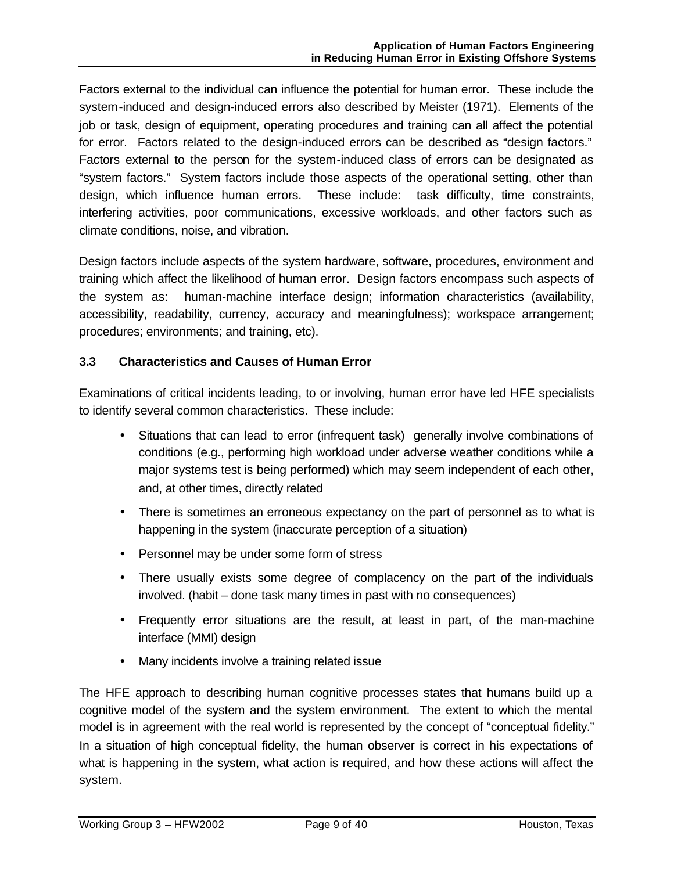Factors external to the individual can influence the potential for human error. These include the system-induced and design-induced errors also described by Meister (1971). Elements of the job or task, design of equipment, operating procedures and training can all affect the potential for error. Factors related to the design-induced errors can be described as "design factors." Factors external to the person for the system-induced class of errors can be designated as "system factors." System factors include those aspects of the operational setting, other than design, which influence human errors. These include: task difficulty, time constraints, interfering activities, poor communications, excessive workloads, and other factors such as climate conditions, noise, and vibration.

Design factors include aspects of the system hardware, software, procedures, environment and training which affect the likelihood of human error. Design factors encompass such aspects of the system as: human-machine interface design; information characteristics (availability, accessibility, readability, currency, accuracy and meaningfulness); workspace arrangement; procedures; environments; and training, etc).

# **3.3 Characteristics and Causes of Human Error**

Examinations of critical incidents leading, to or involving, human error have led HFE specialists to identify several common characteristics. These include:

- Situations that can lead to error (infrequent task) generally involve combinations of conditions (e.g., performing high workload under adverse weather conditions while a major systems test is being performed) which may seem independent of each other, and, at other times, directly related
- There is sometimes an erroneous expectancy on the part of personnel as to what is happening in the system (inaccurate perception of a situation)
- Personnel may be under some form of stress
- There usually exists some degree of complacency on the part of the individuals involved. (habit – done task many times in past with no consequences)
- Frequently error situations are the result, at least in part, of the man-machine interface (MMI) design
- Many incidents involve a training related issue

The HFE approach to describing human cognitive processes states that humans build up a cognitive model of the system and the system environment. The extent to which the mental model is in agreement with the real world is represented by the concept of "conceptual fidelity." In a situation of high conceptual fidelity, the human observer is correct in his expectations of what is happening in the system, what action is required, and how these actions will affect the system.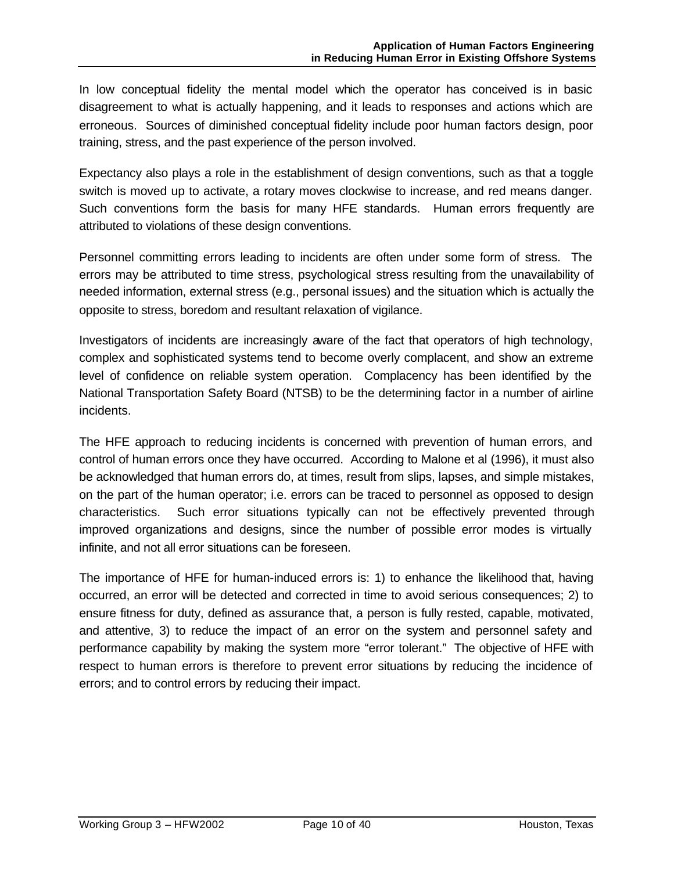In low conceptual fidelity the mental model which the operator has conceived is in basic disagreement to what is actually happening, and it leads to responses and actions which are erroneous. Sources of diminished conceptual fidelity include poor human factors design, poor training, stress, and the past experience of the person involved.

Expectancy also plays a role in the establishment of design conventions, such as that a toggle switch is moved up to activate, a rotary moves clockwise to increase, and red means danger. Such conventions form the basis for many HFE standards. Human errors frequently are attributed to violations of these design conventions.

Personnel committing errors leading to incidents are often under some form of stress. The errors may be attributed to time stress, psychological stress resulting from the unavailability of needed information, external stress (e.g., personal issues) and the situation which is actually the opposite to stress, boredom and resultant relaxation of vigilance.

Investigators of incidents are increasingly aware of the fact that operators of high technology, complex and sophisticated systems tend to become overly complacent, and show an extreme level of confidence on reliable system operation. Complacency has been identified by the National Transportation Safety Board (NTSB) to be the determining factor in a number of airline incidents.

The HFE approach to reducing incidents is concerned with prevention of human errors, and control of human errors once they have occurred. According to Malone et al (1996), it must also be acknowledged that human errors do, at times, result from slips, lapses, and simple mistakes, on the part of the human operator; i.e. errors can be traced to personnel as opposed to design characteristics. Such error situations typically can not be effectively prevented through improved organizations and designs, since the number of possible error modes is virtually infinite, and not all error situations can be foreseen.

The importance of HFE for human-induced errors is: 1) to enhance the likelihood that, having occurred, an error will be detected and corrected in time to avoid serious consequences; 2) to ensure fitness for duty, defined as assurance that, a person is fully rested, capable, motivated, and attentive, 3) to reduce the impact of an error on the system and personnel safety and performance capability by making the system more "error tolerant." The objective of HFE with respect to human errors is therefore to prevent error situations by reducing the incidence of errors; and to control errors by reducing their impact.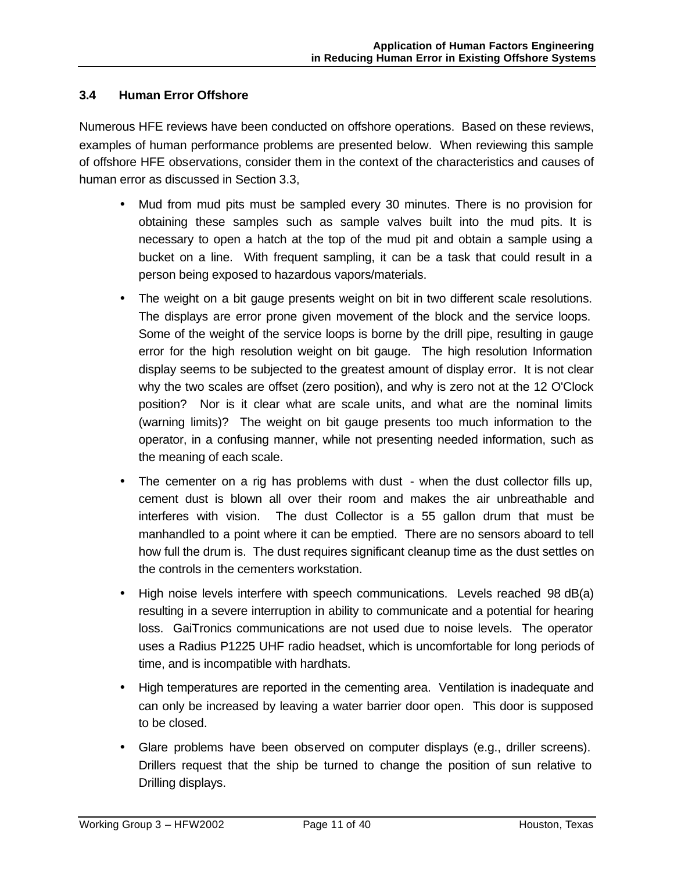# **3.4 Human Error Offshore**

Numerous HFE reviews have been conducted on offshore operations. Based on these reviews, examples of human performance problems are presented below. When reviewing this sample of offshore HFE observations, consider them in the context of the characteristics and causes of human error as discussed in Section 3.3,

- Mud from mud pits must be sampled every 30 minutes. There is no provision for obtaining these samples such as sample valves built into the mud pits. It is necessary to open a hatch at the top of the mud pit and obtain a sample using a bucket on a line. With frequent sampling, it can be a task that could result in a person being exposed to hazardous vapors/materials.
- The weight on a bit gauge presents weight on bit in two different scale resolutions. The displays are error prone given movement of the block and the service loops. Some of the weight of the service loops is borne by the drill pipe, resulting in gauge error for the high resolution weight on bit gauge. The high resolution Information display seems to be subjected to the greatest amount of display error. It is not clear why the two scales are offset (zero position), and why is zero not at the 12 O'Clock position? Nor is it clear what are scale units, and what are the nominal limits (warning limits)? The weight on bit gauge presents too much information to the operator, in a confusing manner, while not presenting needed information, such as the meaning of each scale.
- The cementer on a rig has problems with dust when the dust collector fills up, cement dust is blown all over their room and makes the air unbreathable and interferes with vision. The dust Collector is a 55 gallon drum that must be manhandled to a point where it can be emptied. There are no sensors aboard to tell how full the drum is. The dust requires significant cleanup time as the dust settles on the controls in the cementers workstation.
- High noise levels interfere with speech communications. Levels reached 98 dB(a) resulting in a severe interruption in ability to communicate and a potential for hearing loss. GaiTronics communications are not used due to noise levels. The operator uses a Radius P1225 UHF radio headset, which is uncomfortable for long periods of time, and is incompatible with hardhats.
- High temperatures are reported in the cementing area. Ventilation is inadequate and can only be increased by leaving a water barrier door open. This door is supposed to be closed.
- Glare problems have been observed on computer displays (e.g., driller screens). Drillers request that the ship be turned to change the position of sun relative to Drilling displays.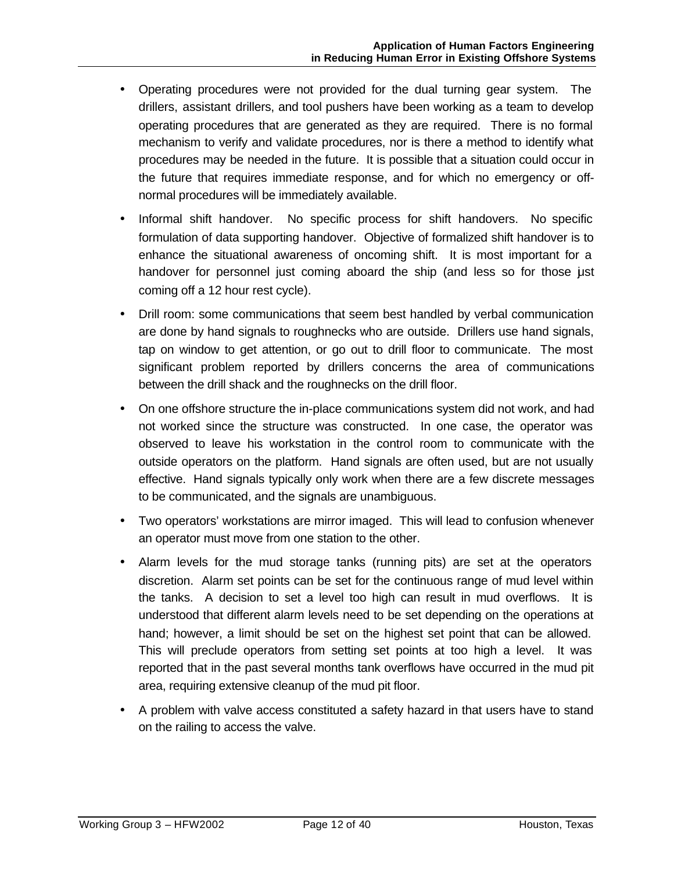- Operating procedures were not provided for the dual turning gear system. The drillers, assistant drillers, and tool pushers have been working as a team to develop operating procedures that are generated as they are required. There is no formal mechanism to verify and validate procedures, nor is there a method to identify what procedures may be needed in the future. It is possible that a situation could occur in the future that requires immediate response, and for which no emergency or offnormal procedures will be immediately available.
- Informal shift handover. No specific process for shift handovers. No specific formulation of data supporting handover. Objective of formalized shift handover is to enhance the situational awareness of oncoming shift. It is most important for a handover for personnel just coming aboard the ship (and less so for those just coming off a 12 hour rest cycle).
- Drill room: some communications that seem best handled by verbal communication are done by hand signals to roughnecks who are outside. Drillers use hand signals, tap on window to get attention, or go out to drill floor to communicate. The most significant problem reported by drillers concerns the area of communications between the drill shack and the roughnecks on the drill floor.
- On one offshore structure the in-place communications system did not work, and had not worked since the structure was constructed. In one case, the operator was observed to leave his workstation in the control room to communicate with the outside operators on the platform. Hand signals are often used, but are not usually effective. Hand signals typically only work when there are a few discrete messages to be communicated, and the signals are unambiguous.
- Two operators' workstations are mirror imaged. This will lead to confusion whenever an operator must move from one station to the other.
- Alarm levels for the mud storage tanks (running pits) are set at the operators discretion. Alarm set points can be set for the continuous range of mud level within the tanks. A decision to set a level too high can result in mud overflows. It is understood that different alarm levels need to be set depending on the operations at hand; however, a limit should be set on the highest set point that can be allowed. This will preclude operators from setting set points at too high a level. It was reported that in the past several months tank overflows have occurred in the mud pit area, requiring extensive cleanup of the mud pit floor.
- A problem with valve access constituted a safety hazard in that users have to stand on the railing to access the valve.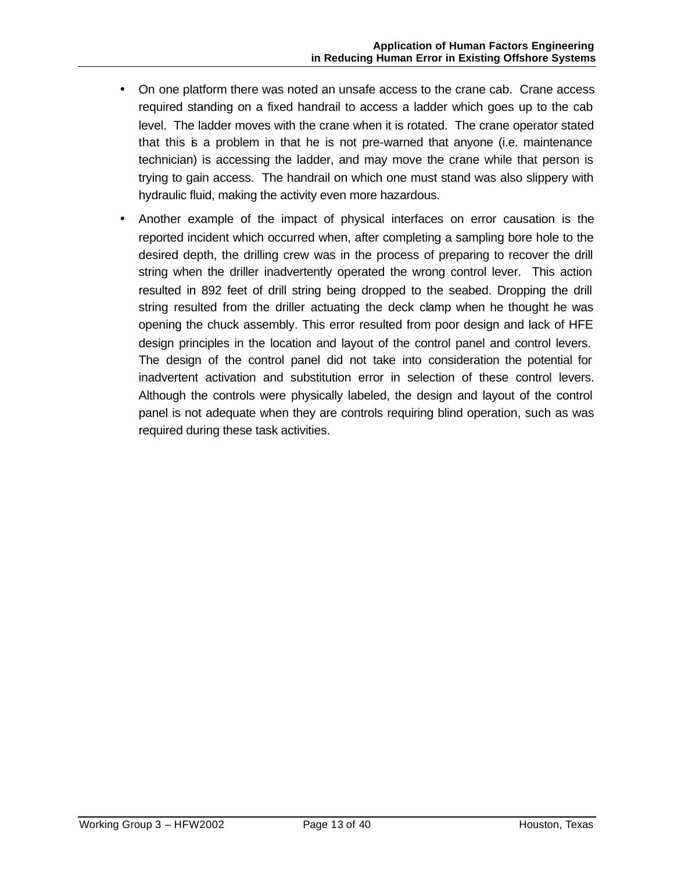- On one platform there was noted an unsafe access to the crane cab. Crane access required standing on a fixed handrail to access a ladder which goes up to the cab level. The ladder moves with the crane when it is rotated. The crane operator stated that this is a problem in that he is not pre-warned that anyone (i.e. maintenance technician) is accessing the ladder, and may move the crane while that person is trying to gain access. The handrail on which one must stand was also slippery with hydraulic fluid, making the activity even more hazardous.
- Another example of the impact of physical interfaces on error causation is the reported incident which occurred when, after completing a sampling bore hole to the desired depth, the drilling crew was in the process of preparing to recover the drill string when the driller inadvertently operated the wrong control lever. This action resulted in 892 feet of drill string being dropped to the seabed. Dropping the drill string resulted from the driller actuating the deck clamp when he thought he was opening the chuck assembly. This error resulted from poor design and lack of HFE design principles in the location and layout of the control panel and control levers. The design of the control panel did not take into consideration the potential for inadvertent activation and substitution error in selection of these control levers. Although the controls were physically labeled, the design and layout of the control panel is not adequate when they are controls requiring blind operation, such as was required during these task activities.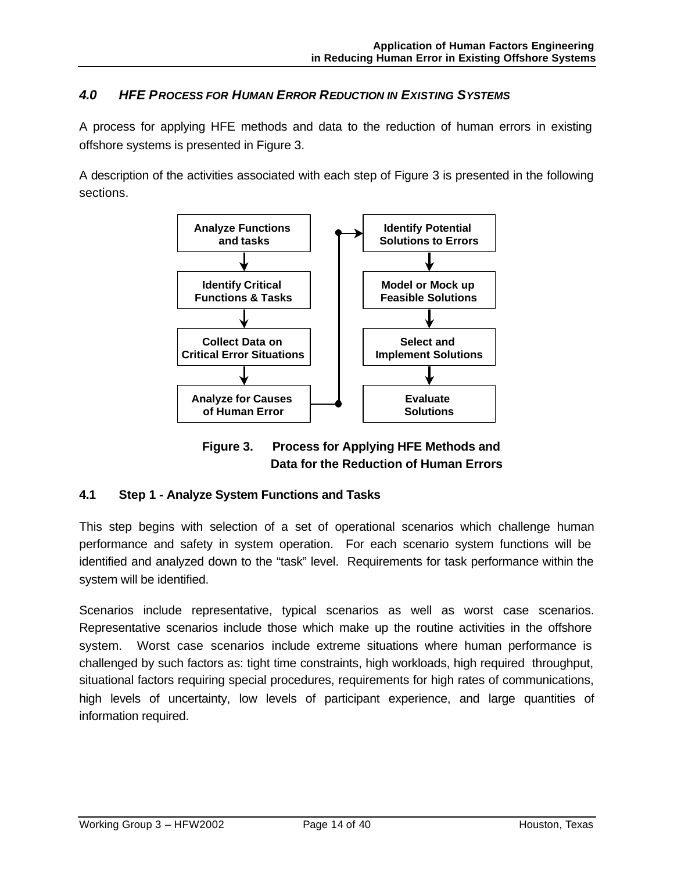# *4.0 HFE PROCESS FOR HUMAN ERROR REDUCTION IN EXISTING SYSTEMS*

A process for applying HFE methods and data to the reduction of human errors in existing offshore systems is presented in Figure 3.

A description of the activities associated with each step of Figure 3 is presented in the following sections.



**Figure 3. Process for Applying HFE Methods and Data for the Reduction of Human Errors**

# **4.1 Step 1 - Analyze System Functions and Tasks**

This step begins with selection of a set of operational scenarios which challenge human performance and safety in system operation. For each scenario system functions will be identified and analyzed down to the "task" level. Requirements for task performance within the system will be identified.

Scenarios include representative, typical scenarios as well as worst case scenarios. Representative scenarios include those which make up the routine activities in the offshore system. Worst case scenarios include extreme situations where human performance is challenged by such factors as: tight time constraints, high workloads, high required throughput, situational factors requiring special procedures, requirements for high rates of communications, high levels of uncertainty, low levels of participant experience, and large quantities of information required.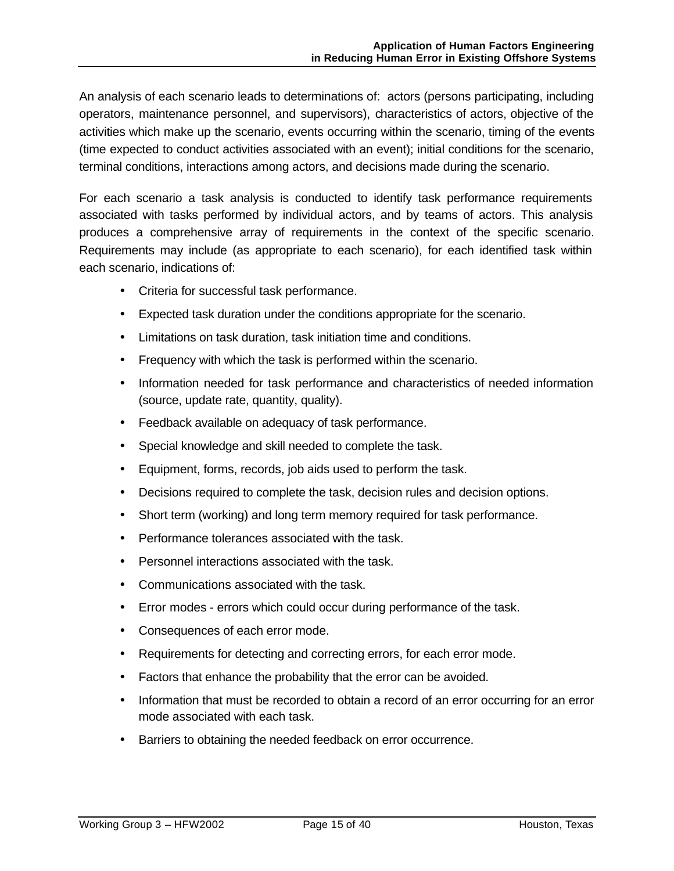An analysis of each scenario leads to determinations of: actors (persons participating, including operators, maintenance personnel, and supervisors), characteristics of actors, objective of the activities which make up the scenario, events occurring within the scenario, timing of the events (time expected to conduct activities associated with an event); initial conditions for the scenario, terminal conditions, interactions among actors, and decisions made during the scenario.

For each scenario a task analysis is conducted to identify task performance requirements associated with tasks performed by individual actors, and by teams of actors. This analysis produces a comprehensive array of requirements in the context of the specific scenario. Requirements may include (as appropriate to each scenario), for each identified task within each scenario, indications of:

- Criteria for successful task performance.
- Expected task duration under the conditions appropriate for the scenario.
- Limitations on task duration, task initiation time and conditions.
- Frequency with which the task is performed within the scenario.
- Information needed for task performance and characteristics of needed information (source, update rate, quantity, quality).
- Feedback available on adequacy of task performance.
- Special knowledge and skill needed to complete the task.
- Equipment, forms, records, job aids used to perform the task.
- Decisions required to complete the task, decision rules and decision options.
- Short term (working) and long term memory required for task performance.
- Performance tolerances associated with the task.
- Personnel interactions associated with the task.
- Communications associated with the task.
- Error modes errors which could occur during performance of the task.
- Consequences of each error mode.
- Requirements for detecting and correcting errors, for each error mode.
- Factors that enhance the probability that the error can be avoided.
- Information that must be recorded to obtain a record of an error occurring for an error mode associated with each task.
- Barriers to obtaining the needed feedback on error occurrence.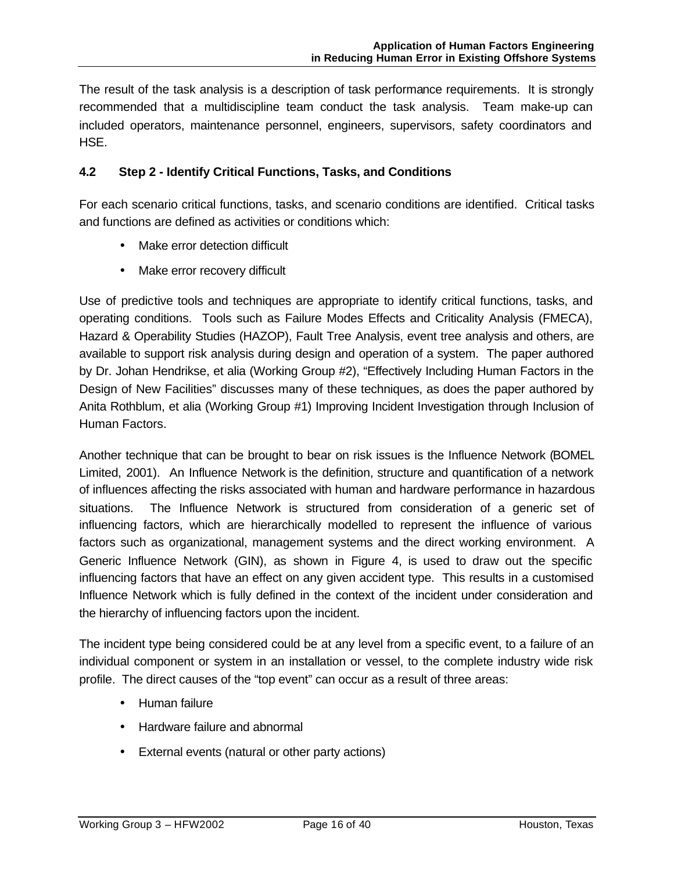The result of the task analysis is a description of task performance requirements. It is strongly recommended that a multidiscipline team conduct the task analysis. Team make-up can included operators, maintenance personnel, engineers, supervisors, safety coordinators and HSE.

# **4.2 Step 2 - Identify Critical Functions, Tasks, and Conditions**

For each scenario critical functions, tasks, and scenario conditions are identified. Critical tasks and functions are defined as activities or conditions which:

- Make error detection difficult
- Make error recovery difficult

Use of predictive tools and techniques are appropriate to identify critical functions, tasks, and operating conditions. Tools such as Failure Modes Effects and Criticality Analysis (FMECA), Hazard & Operability Studies (HAZOP), Fault Tree Analysis, event tree analysis and others, are available to support risk analysis during design and operation of a system. The paper authored by Dr. Johan Hendrikse, et alia (Working Group #2), "Effectively Including Human Factors in the Design of New Facilities" discusses many of these techniques, as does the paper authored by Anita Rothblum, et alia (Working Group #1) Improving Incident Investigation through Inclusion of Human Factors.

Another technique that can be brought to bear on risk issues is the Influence Network (BOMEL Limited, 2001). An Influence Network is the definition, structure and quantification of a network of influences affecting the risks associated with human and hardware performance in hazardous situations. The Influence Network is structured from consideration of a generic set of influencing factors, which are hierarchically modelled to represent the influence of various factors such as organizational, management systems and the direct working environment. A Generic Influence Network (GIN), as shown in Figure 4, is used to draw out the specific influencing factors that have an effect on any given accident type. This results in a customised Influence Network which is fully defined in the context of the incident under consideration and the hierarchy of influencing factors upon the incident.

The incident type being considered could be at any level from a specific event, to a failure of an individual component or system in an installation or vessel, to the complete industry wide risk profile. The direct causes of the "top event" can occur as a result of three areas:

- Human failure
- Hardware failure and abnormal
- External events (natural or other party actions)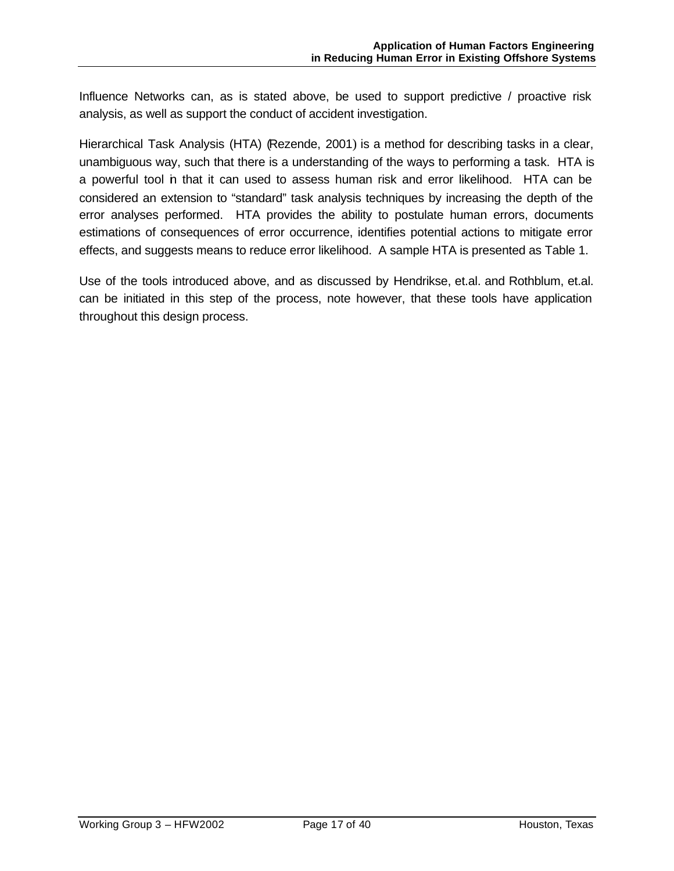Influence Networks can, as is stated above, be used to support predictive / proactive risk analysis, as well as support the conduct of accident investigation.

Hierarchical Task Analysis (HTA) (Rezende, 2001) is a method for describing tasks in a clear, unambiguous way, such that there is a understanding of the ways to performing a task. HTA is a powerful tool in that it can used to assess human risk and error likelihood. HTA can be considered an extension to "standard" task analysis techniques by increasing the depth of the error analyses performed. HTA provides the ability to postulate human errors, documents estimations of consequences of error occurrence, identifies potential actions to mitigate error effects, and suggests means to reduce error likelihood. A sample HTA is presented as Table 1.

Use of the tools introduced above, and as discussed by Hendrikse, et.al. and Rothblum, et.al. can be initiated in this step of the process, note however, that these tools have application throughout this design process.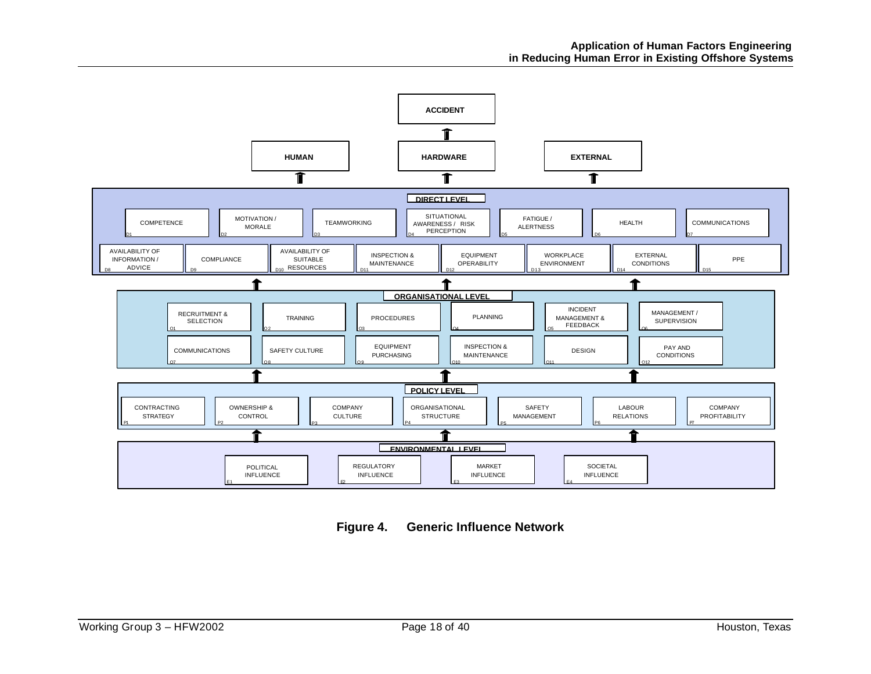

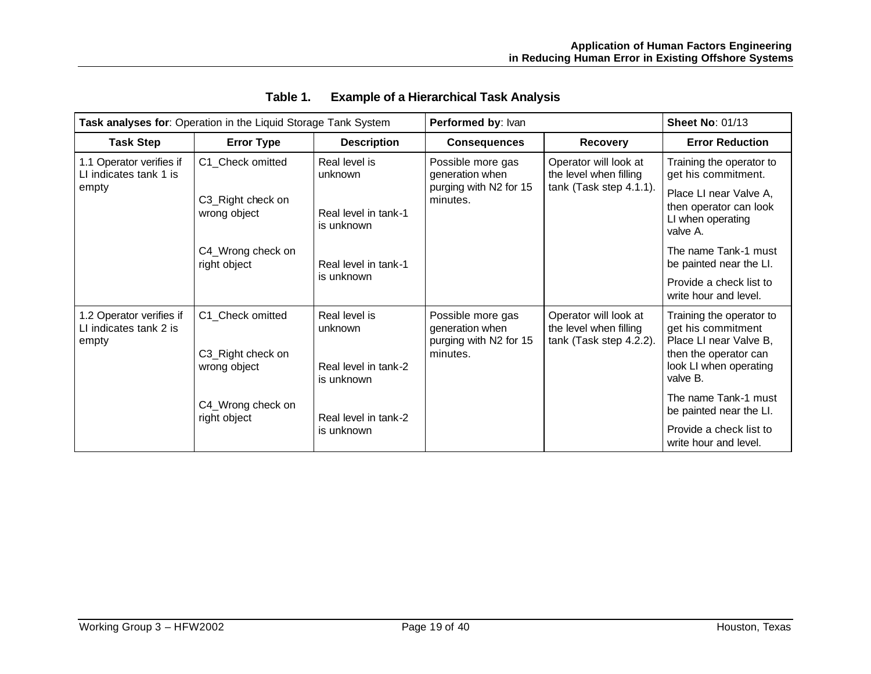|                                                             | Task analyses for: Operation in the Liquid Storage Tank System                             |                                                                                                      | Performed by: Ivan                                                         |                                                                            | <b>Sheet No: 01/13</b>                                                                                                                                                                                                                         |
|-------------------------------------------------------------|--------------------------------------------------------------------------------------------|------------------------------------------------------------------------------------------------------|----------------------------------------------------------------------------|----------------------------------------------------------------------------|------------------------------------------------------------------------------------------------------------------------------------------------------------------------------------------------------------------------------------------------|
| <b>Task Step</b>                                            | <b>Error Type</b>                                                                          | <b>Description</b>                                                                                   | <b>Consequences</b>                                                        | <b>Recovery</b>                                                            | <b>Error Reduction</b>                                                                                                                                                                                                                         |
| 1.1 Operator verifies if<br>LI indicates tank 1 is<br>empty | C1_Check omitted<br>C3_Right check on<br>wrong object<br>C4_Wrong check on<br>right object | Real level is<br>unknown<br>Real level in tank-1<br>is unknown<br>Real level in tank-1<br>is unknown | Possible more gas<br>generation when<br>purging with N2 for 15<br>minutes. | Operator will look at<br>the level when filling<br>tank (Task step 4.1.1). | Training the operator to<br>get his commitment.<br>Place LI near Valve A,<br>then operator can look<br>LI when operating<br>valve A.<br>The name Tank-1 must<br>be painted near the LI.<br>Provide a check list to<br>write hour and level.    |
| 1.2 Operator verifies if<br>LI indicates tank 2 is<br>empty | C1 Check omitted<br>C3_Right check on<br>wrong object<br>C4_Wrong check on<br>right object | Real level is<br>unknown<br>Real level in tank-2<br>is unknown<br>Real level in tank-2<br>is unknown | Possible more gas<br>generation when<br>purging with N2 for 15<br>minutes. | Operator will look at<br>the level when filling<br>tank (Task step 4.2.2). | Training the operator to<br>get his commitment<br>Place LI near Valve B,<br>then the operator can<br>look LI when operating<br>valve B.<br>The name Tank-1 must<br>be painted near the LI.<br>Provide a check list to<br>write hour and level. |

# **Table 1. Example of a Hierarchical Task Analysis**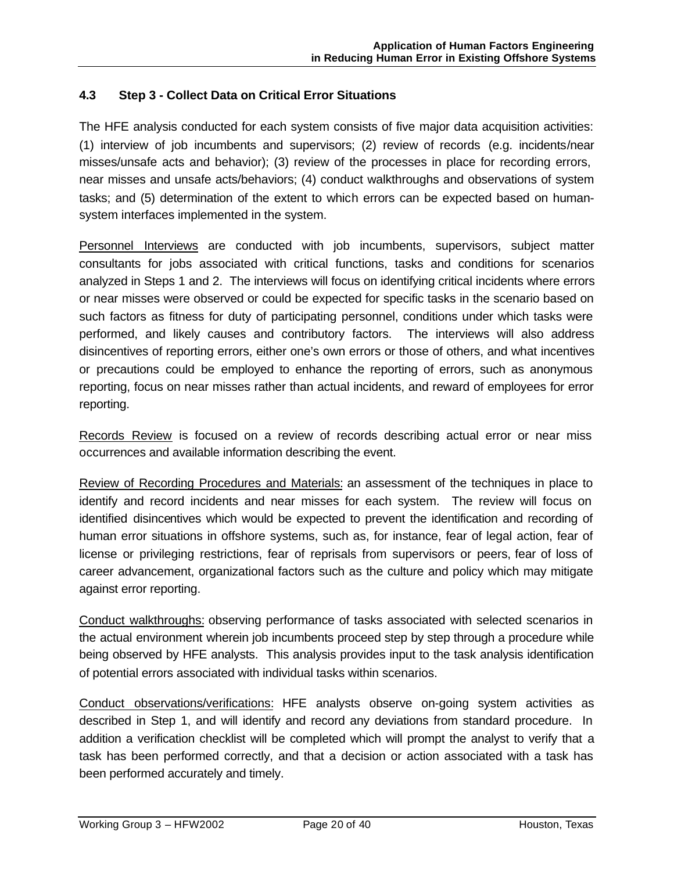# **4.3 Step 3 - Collect Data on Critical Error Situations**

The HFE analysis conducted for each system consists of five major data acquisition activities: (1) interview of job incumbents and supervisors; (2) review of records (e.g. incidents/near misses/unsafe acts and behavior); (3) review of the processes in place for recording errors, near misses and unsafe acts/behaviors; (4) conduct walkthroughs and observations of system tasks; and (5) determination of the extent to which errors can be expected based on humansystem interfaces implemented in the system.

Personnel Interviews are conducted with job incumbents, supervisors, subject matter consultants for jobs associated with critical functions, tasks and conditions for scenarios analyzed in Steps 1 and 2. The interviews will focus on identifying critical incidents where errors or near misses were observed or could be expected for specific tasks in the scenario based on such factors as fitness for duty of participating personnel, conditions under which tasks were performed, and likely causes and contributory factors. The interviews will also address disincentives of reporting errors, either one's own errors or those of others, and what incentives or precautions could be employed to enhance the reporting of errors, such as anonymous reporting, focus on near misses rather than actual incidents, and reward of employees for error reporting.

Records Review is focused on a review of records describing actual error or near miss occurrences and available information describing the event.

Review of Recording Procedures and Materials: an assessment of the techniques in place to identify and record incidents and near misses for each system. The review will focus on identified disincentives which would be expected to prevent the identification and recording of human error situations in offshore systems, such as, for instance, fear of legal action, fear of license or privileging restrictions, fear of reprisals from supervisors or peers, fear of loss of career advancement, organizational factors such as the culture and policy which may mitigate against error reporting.

Conduct walkthroughs: observing performance of tasks associated with selected scenarios in the actual environment wherein job incumbents proceed step by step through a procedure while being observed by HFE analysts. This analysis provides input to the task analysis identification of potential errors associated with individual tasks within scenarios.

Conduct observations/verifications: HFE analysts observe on-going system activities as described in Step 1, and will identify and record any deviations from standard procedure. In addition a verification checklist will be completed which will prompt the analyst to verify that a task has been performed correctly, and that a decision or action associated with a task has been performed accurately and timely.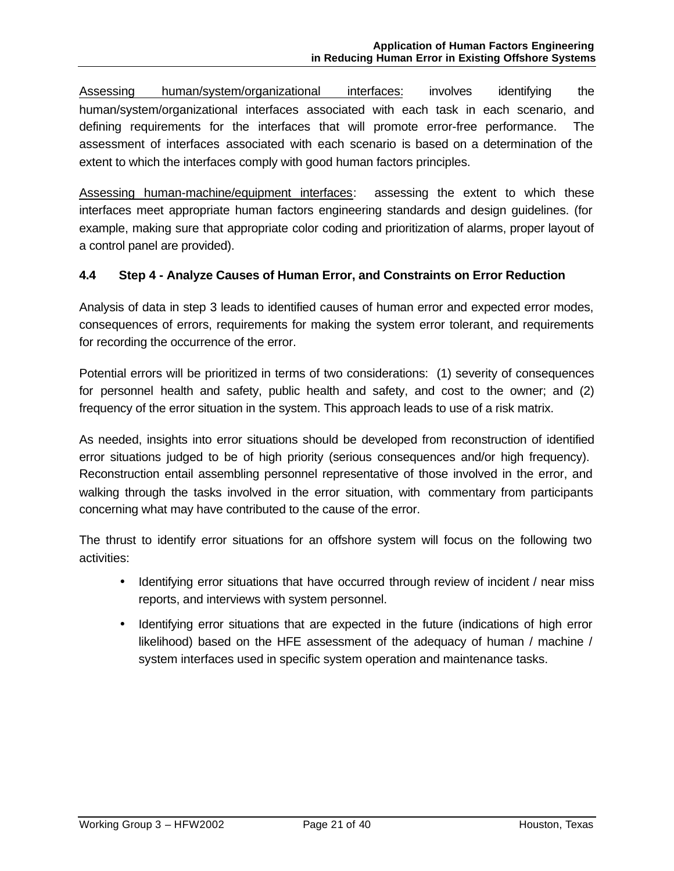Assessing human/system/organizational interfaces: involves identifying the human/system/organizational interfaces associated with each task in each scenario, and defining requirements for the interfaces that will promote error-free performance. The assessment of interfaces associated with each scenario is based on a determination of the extent to which the interfaces comply with good human factors principles.

Assessing human-machine/equipment interfaces: assessing the extent to which these interfaces meet appropriate human factors engineering standards and design guidelines. (for example, making sure that appropriate color coding and prioritization of alarms, proper layout of a control panel are provided).

# **4.4 Step 4 - Analyze Causes of Human Error, and Constraints on Error Reduction**

Analysis of data in step 3 leads to identified causes of human error and expected error modes, consequences of errors, requirements for making the system error tolerant, and requirements for recording the occurrence of the error.

Potential errors will be prioritized in terms of two considerations: (1) severity of consequences for personnel health and safety, public health and safety, and cost to the owner; and (2) frequency of the error situation in the system. This approach leads to use of a risk matrix.

As needed, insights into error situations should be developed from reconstruction of identified error situations judged to be of high priority (serious consequences and/or high frequency). Reconstruction entail assembling personnel representative of those involved in the error, and walking through the tasks involved in the error situation, with commentary from participants concerning what may have contributed to the cause of the error.

The thrust to identify error situations for an offshore system will focus on the following two activities:

- Identifying error situations that have occurred through review of incident / near miss reports, and interviews with system personnel.
- Identifying error situations that are expected in the future (indications of high error likelihood) based on the HFE assessment of the adequacy of human / machine / system interfaces used in specific system operation and maintenance tasks.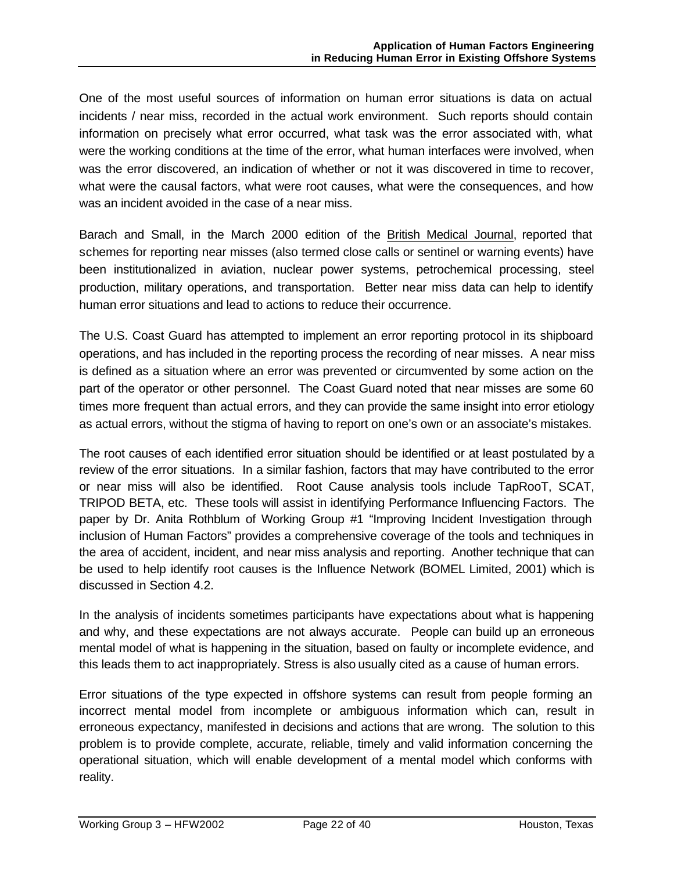One of the most useful sources of information on human error situations is data on actual incidents / near miss, recorded in the actual work environment. Such reports should contain information on precisely what error occurred, what task was the error associated with, what were the working conditions at the time of the error, what human interfaces were involved, when was the error discovered, an indication of whether or not it was discovered in time to recover, what were the causal factors, what were root causes, what were the consequences, and how was an incident avoided in the case of a near miss.

Barach and Small, in the March 2000 edition of the British Medical Journal, reported that schemes for reporting near misses (also termed close calls or sentinel or warning events) have been institutionalized in aviation, nuclear power systems, petrochemical processing, steel production, military operations, and transportation. Better near miss data can help to identify human error situations and lead to actions to reduce their occurrence.

The U.S. Coast Guard has attempted to implement an error reporting protocol in its shipboard operations, and has included in the reporting process the recording of near misses. A near miss is defined as a situation where an error was prevented or circumvented by some action on the part of the operator or other personnel. The Coast Guard noted that near misses are some 60 times more frequent than actual errors, and they can provide the same insight into error etiology as actual errors, without the stigma of having to report on one's own or an associate's mistakes.

The root causes of each identified error situation should be identified or at least postulated by a review of the error situations. In a similar fashion, factors that may have contributed to the error or near miss will also be identified. Root Cause analysis tools include TapRooT, SCAT, TRIPOD BETA, etc. These tools will assist in identifying Performance Influencing Factors. The paper by Dr. Anita Rothblum of Working Group #1 "Improving Incident Investigation through inclusion of Human Factors" provides a comprehensive coverage of the tools and techniques in the area of accident, incident, and near miss analysis and reporting. Another technique that can be used to help identify root causes is the Influence Network (BOMEL Limited, 2001) which is discussed in Section 4.2.

In the analysis of incidents sometimes participants have expectations about what is happening and why, and these expectations are not always accurate. People can build up an erroneous mental model of what is happening in the situation, based on faulty or incomplete evidence, and this leads them to act inappropriately. Stress is also usually cited as a cause of human errors.

Error situations of the type expected in offshore systems can result from people forming an incorrect mental model from incomplete or ambiguous information which can, result in erroneous expectancy, manifested in decisions and actions that are wrong. The solution to this problem is to provide complete, accurate, reliable, timely and valid information concerning the operational situation, which will enable development of a mental model which conforms with reality.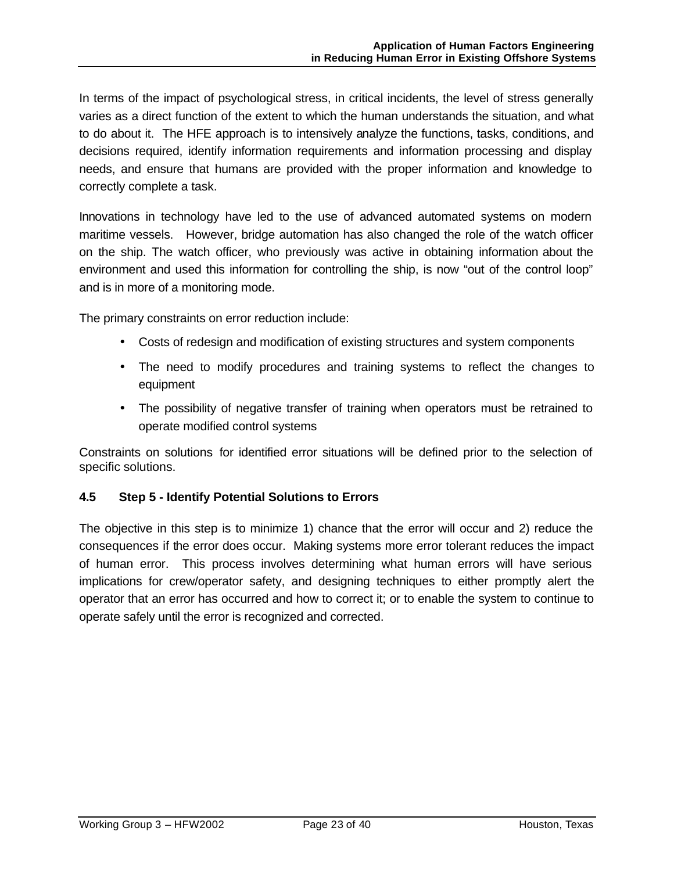In terms of the impact of psychological stress, in critical incidents, the level of stress generally varies as a direct function of the extent to which the human understands the situation, and what to do about it. The HFE approach is to intensively analyze the functions, tasks, conditions, and decisions required, identify information requirements and information processing and display needs, and ensure that humans are provided with the proper information and knowledge to correctly complete a task.

Innovations in technology have led to the use of advanced automated systems on modern maritime vessels. However, bridge automation has also changed the role of the watch officer on the ship. The watch officer, who previously was active in obtaining information about the environment and used this information for controlling the ship, is now "out of the control loop" and is in more of a monitoring mode.

The primary constraints on error reduction include:

- Costs of redesign and modification of existing structures and system components
- The need to modify procedures and training systems to reflect the changes to equipment
- The possibility of negative transfer of training when operators must be retrained to operate modified control systems

Constraints on solutions for identified error situations will be defined prior to the selection of specific solutions.

# **4.5 Step 5 - Identify Potential Solutions to Errors**

The objective in this step is to minimize 1) chance that the error will occur and 2) reduce the consequences if the error does occur. Making systems more error tolerant reduces the impact of human error. This process involves determining what human errors will have serious implications for crew/operator safety, and designing techniques to either promptly alert the operator that an error has occurred and how to correct it; or to enable the system to continue to operate safely until the error is recognized and corrected.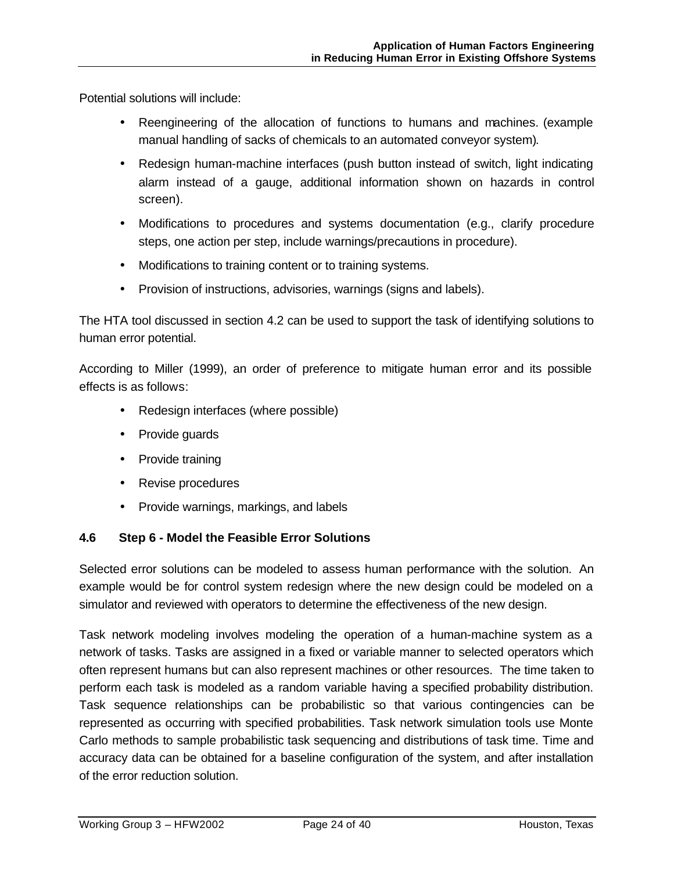Potential solutions will include:

- Reengineering of the allocation of functions to humans and machines. (example manual handling of sacks of chemicals to an automated conveyor system).
- Redesign human-machine interfaces (push button instead of switch, light indicating alarm instead of a gauge, additional information shown on hazards in control screen).
- Modifications to procedures and systems documentation (e.g., clarify procedure steps, one action per step, include warnings/precautions in procedure).
- Modifications to training content or to training systems.
- Provision of instructions, advisories, warnings (signs and labels).

The HTA tool discussed in section 4.2 can be used to support the task of identifying solutions to human error potential.

According to Miller (1999), an order of preference to mitigate human error and its possible effects is as follows:

- Redesign interfaces (where possible)
- Provide guards
- Provide training
- Revise procedures
- Provide warnings, markings, and labels

# **4.6 Step 6 - Model the Feasible Error Solutions**

Selected error solutions can be modeled to assess human performance with the solution. An example would be for control system redesign where the new design could be modeled on a simulator and reviewed with operators to determine the effectiveness of the new design.

Task network modeling involves modeling the operation of a human-machine system as a network of tasks. Tasks are assigned in a fixed or variable manner to selected operators which often represent humans but can also represent machines or other resources. The time taken to perform each task is modeled as a random variable having a specified probability distribution. Task sequence relationships can be probabilistic so that various contingencies can be represented as occurring with specified probabilities. Task network simulation tools use Monte Carlo methods to sample probabilistic task sequencing and distributions of task time. Time and accuracy data can be obtained for a baseline configuration of the system, and after installation of the error reduction solution.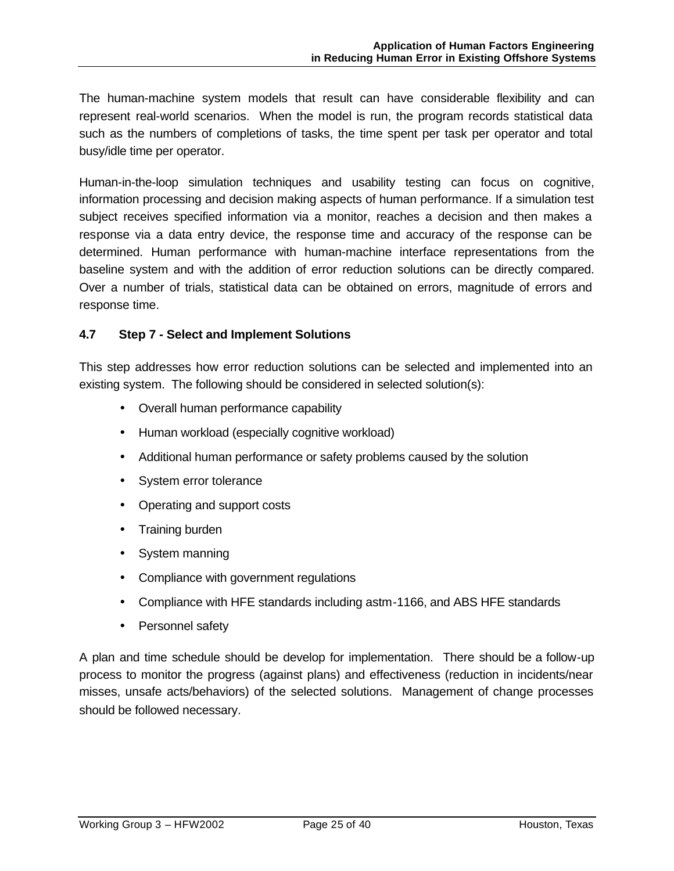The human-machine system models that result can have considerable flexibility and can represent real-world scenarios. When the model is run, the program records statistical data such as the numbers of completions of tasks, the time spent per task per operator and total busy/idle time per operator.

Human-in-the-loop simulation techniques and usability testing can focus on cognitive, information processing and decision making aspects of human performance. If a simulation test subject receives specified information via a monitor, reaches a decision and then makes a response via a data entry device, the response time and accuracy of the response can be determined. Human performance with human-machine interface representations from the baseline system and with the addition of error reduction solutions can be directly compared. Over a number of trials, statistical data can be obtained on errors, magnitude of errors and response time.

# **4.7 Step 7 - Select and Implement Solutions**

This step addresses how error reduction solutions can be selected and implemented into an existing system. The following should be considered in selected solution(s):

- Overall human performance capability
- Human workload (especially cognitive workload)
- Additional human performance or safety problems caused by the solution
- System error tolerance
- Operating and support costs
- Training burden
- System manning
- Compliance with government regulations
- Compliance with HFE standards including astm-1166, and ABS HFE standards
- Personnel safety

A plan and time schedule should be develop for implementation. There should be a follow-up process to monitor the progress (against plans) and effectiveness (reduction in incidents/near misses, unsafe acts/behaviors) of the selected solutions. Management of change processes should be followed necessary.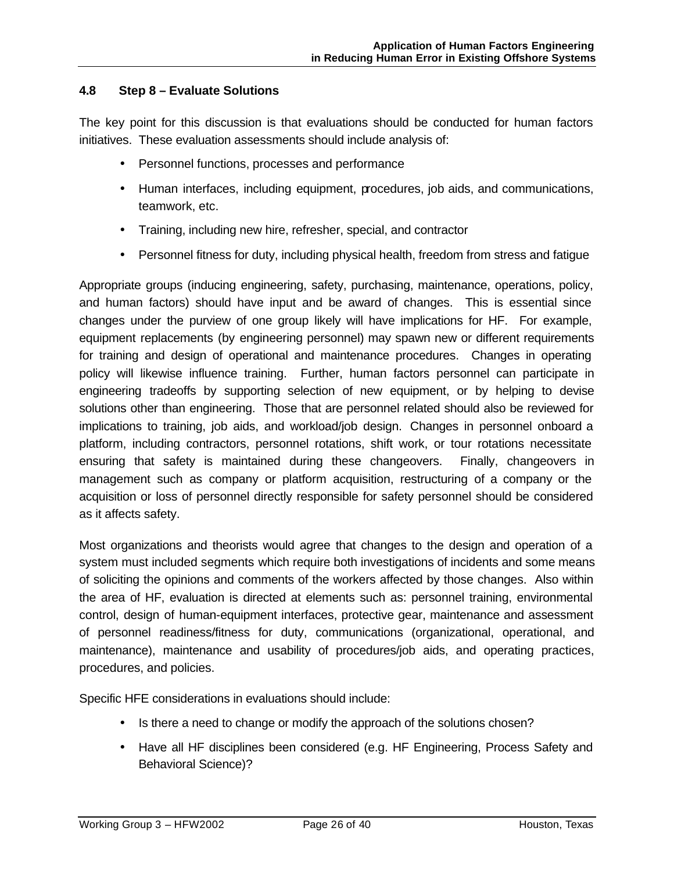# **4.8 Step 8 – Evaluate Solutions**

The key point for this discussion is that evaluations should be conducted for human factors initiatives. These evaluation assessments should include analysis of:

- Personnel functions, processes and performance
- Human interfaces, including equipment, procedures, job aids, and communications, teamwork, etc.
- Training, including new hire, refresher, special, and contractor
- Personnel fitness for duty, including physical health, freedom from stress and fatigue

Appropriate groups (inducing engineering, safety, purchasing, maintenance, operations, policy, and human factors) should have input and be award of changes. This is essential since changes under the purview of one group likely will have implications for HF. For example, equipment replacements (by engineering personnel) may spawn new or different requirements for training and design of operational and maintenance procedures. Changes in operating policy will likewise influence training. Further, human factors personnel can participate in engineering tradeoffs by supporting selection of new equipment, or by helping to devise solutions other than engineering. Those that are personnel related should also be reviewed for implications to training, job aids, and workload/job design. Changes in personnel onboard a platform, including contractors, personnel rotations, shift work, or tour rotations necessitate ensuring that safety is maintained during these changeovers. Finally, changeovers in management such as company or platform acquisition, restructuring of a company or the acquisition or loss of personnel directly responsible for safety personnel should be considered as it affects safety.

Most organizations and theorists would agree that changes to the design and operation of a system must included segments which require both investigations of incidents and some means of soliciting the opinions and comments of the workers affected by those changes. Also within the area of HF, evaluation is directed at elements such as: personnel training, environmental control, design of human-equipment interfaces, protective gear, maintenance and assessment of personnel readiness/fitness for duty, communications (organizational, operational, and maintenance), maintenance and usability of procedures/job aids, and operating practices, procedures, and policies.

Specific HFE considerations in evaluations should include:

- Is there a need to change or modify the approach of the solutions chosen?
- Have all HF disciplines been considered (e.g. HF Engineering, Process Safety and Behavioral Science)?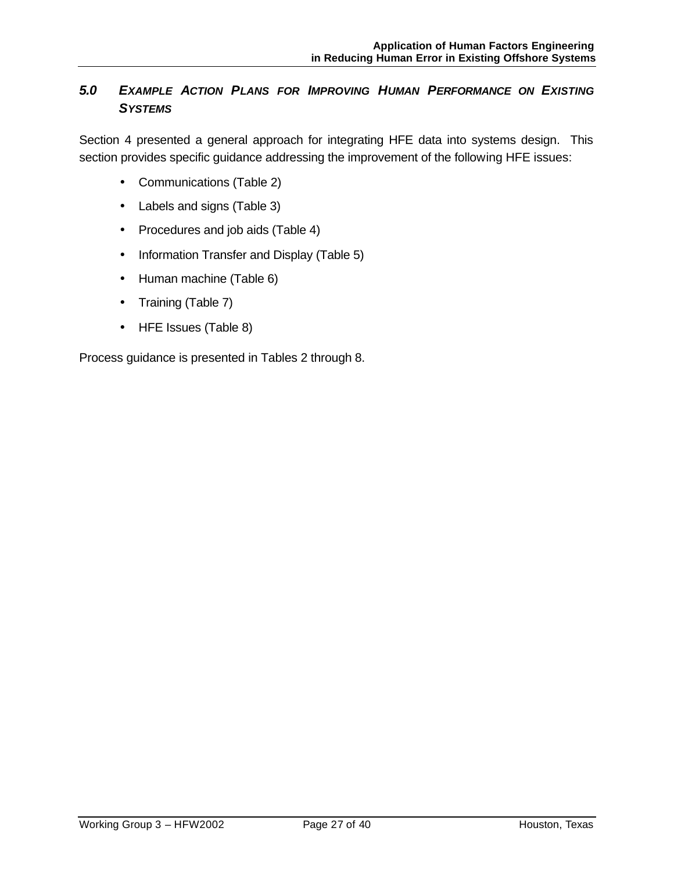# *5.0 EXAMPLE ACTION PLANS FOR IMPROVING HUMAN PERFORMANCE ON EXISTING SYSTEMS*

Section 4 presented a general approach for integrating HFE data into systems design. This section provides specific guidance addressing the improvement of the following HFE issues:

- Communications (Table 2)
- Labels and signs (Table 3)
- Procedures and job aids (Table 4)
- Information Transfer and Display (Table 5)
- Human machine (Table 6)
- Training (Table 7)
- HFE Issues (Table 8)

Process guidance is presented in Tables 2 through 8.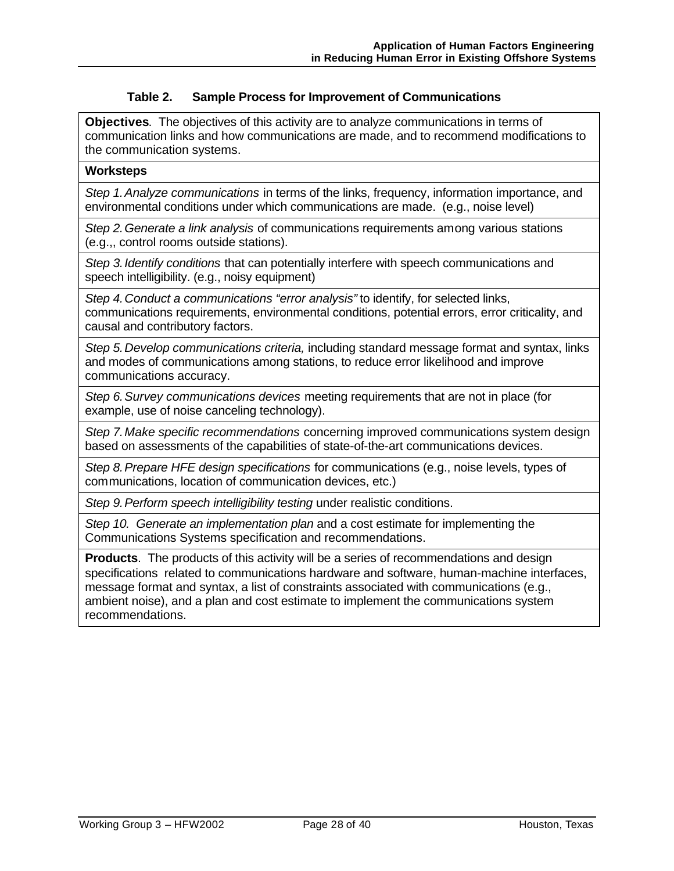### **Table 2. Sample Process for Improvement of Communications**

**Objectives**. The objectives of this activity are to analyze communications in terms of communication links and how communications are made, and to recommend modifications to the communication systems.

#### **Worksteps**

*Step 1.Analyze communications* in terms of the links, frequency, information importance, and environmental conditions under which communications are made. (e.g., noise level)

*Step 2.Generate a link analysis* of communications requirements among various stations (e.g.,, control rooms outside stations).

*Step 3.Identify conditions* that can potentially interfere with speech communications and speech intelligibility. (e.g., noisy equipment)

*Step 4.Conduct a communications "error analysis"* to identify, for selected links, communications requirements, environmental conditions, potential errors, error criticality, and causal and contributory factors.

*Step 5.Develop communications criteria,* including standard message format and syntax, links and modes of communications among stations, to reduce error likelihood and improve communications accuracy.

*Step 6.Survey communications devices* meeting requirements that are not in place (for example, use of noise canceling technology).

*Step 7.Make specific recommendations* concerning improved communications system design based on assessments of the capabilities of state-of-the-art communications devices.

*Step 8.Prepare HFE design specifications* for communications (e.g., noise levels, types of communications, location of communication devices, etc.)

*Step 9.Perform speech intelligibility testing* under realistic conditions.

*Step 10. Generate an implementation plan* and a cost estimate for implementing the Communications Systems specification and recommendations.

**Products**. The products of this activity will be a series of recommendations and design specifications related to communications hardware and software, human-machine interfaces, message format and syntax, a list of constraints associated with communications (e.g., ambient noise), and a plan and cost estimate to implement the communications system recommendations.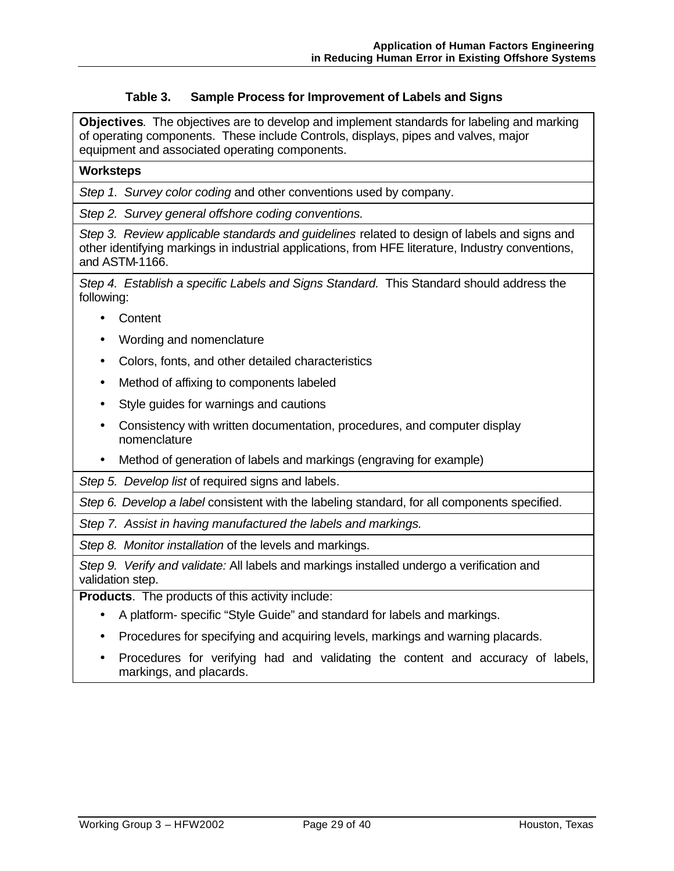### **Table 3. Sample Process for Improvement of Labels and Signs**

**Objectives**. The objectives are to develop and implement standards for labeling and marking of operating components. These include Controls, displays, pipes and valves, major equipment and associated operating components.

#### **Worksteps**

*Step 1. Survey color coding* and other conventions used by company.

*Step 2. Survey general offshore coding conventions.* 

*Step 3. Review applicable standards and guidelines* related to design of labels and signs and other identifying markings in industrial applications, from HFE literature, Industry conventions, and ASTM-1166.

*Step 4. Establish a specific Labels and Signs Standard.* This Standard should address the following:

- Content
- Wording and nomenclature
- Colors, fonts, and other detailed characteristics
- Method of affixing to components labeled
- Style guides for warnings and cautions
- Consistency with written documentation, procedures, and computer display nomenclature
- Method of generation of labels and markings (engraving for example)

*Step 5. Develop list* of required signs and labels*.*

*Step 6. Develop a label* consistent with the labeling standard, for all components specified.

*Step 7. Assist in having manufactured the labels and markings.*

*Step 8. Monitor installation* of the levels and markings.

*Step 9. Verify and validate:* All labels and markings installed undergo a verification and validation step.

**Products**. The products of this activity include:

- A platform- specific "Style Guide" and standard for labels and markings.
- Procedures for specifying and acquiring levels, markings and warning placards.
- Procedures for verifying had and validating the content and accuracy of labels, markings, and placards.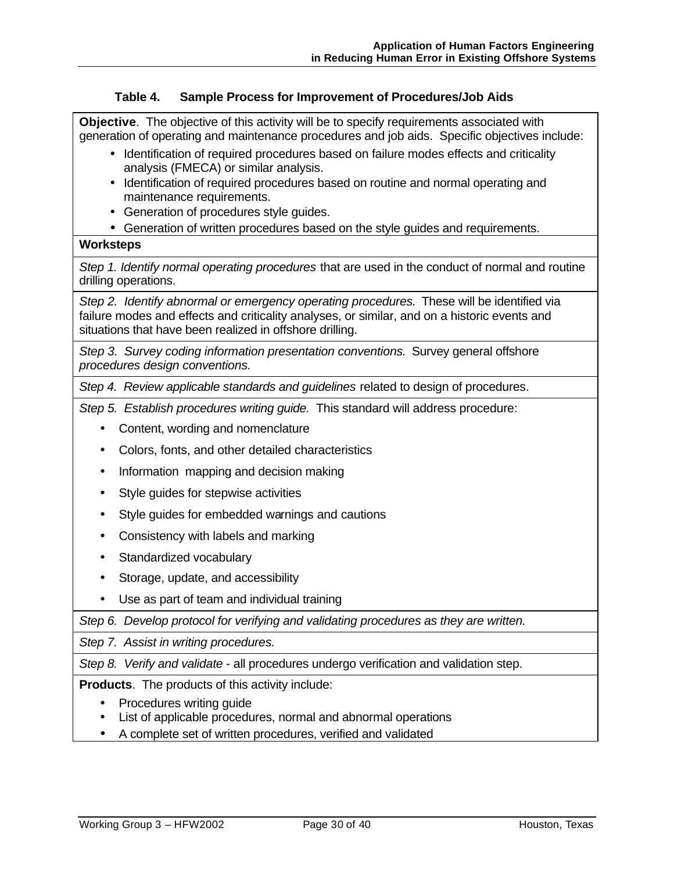## **Table 4. Sample Process for Improvement of Procedures/Job Aids**

**Objective**. The objective of this activity will be to specify requirements associated with generation of operating and maintenance procedures and job aids. Specific objectives include:

- Identification of required procedures based on failure modes effects and criticality analysis (FMECA) or similar analysis.
- Identification of required procedures based on routine and normal operating and maintenance requirements.
- Generation of procedures style guides.
- Generation of written procedures based on the style guides and requirements.

### **Worksteps**

*Step 1. Identify normal operating procedures* that are used in the conduct of normal and routine drilling operations.

*Step 2. Identify abnormal or emergency operating procedures.* These will be identified via failure modes and effects and criticality analyses, or similar, and on a historic events and situations that have been realized in offshore drilling.

*Step 3. Survey coding information presentation conventions.* Survey general offshore *procedures design conventions.* 

*Step 4. Review applicable standards and guidelines* related to design of procedures.

*Step 5. Establish procedures writing guide.* This standard will address procedure:

- Content, wording and nomenclature
- Colors, fonts, and other detailed characteristics
- Information mapping and decision making
- Style guides for stepwise activities
- Style guides for embedded warnings and cautions
- Consistency with labels and marking
- Standardized vocabulary
- Storage, update, and accessibility
- Use as part of team and individual training

*Step 6. Develop protocol for verifying and validating procedures as they are written.* 

*Step 7. Assist in writing procedures.*

*Step 8. Verify and validate* - all procedures undergo verification and validation step.

**Products**. The products of this activity include:

- Procedures writing guide
- List of applicable procedures, normal and abnormal operations
- A complete set of written procedures, verified and validated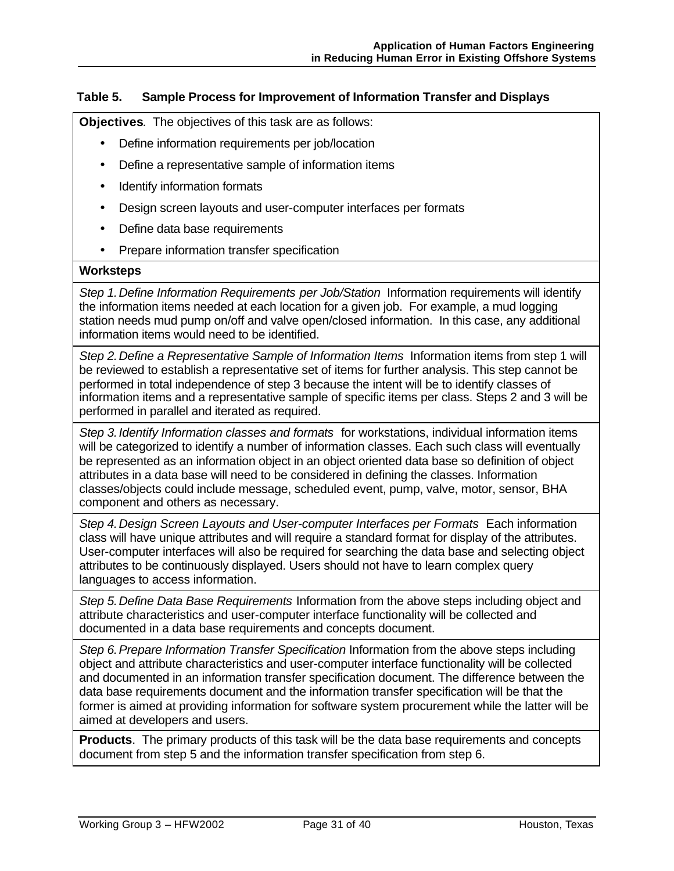### **Table 5. Sample Process for Improvement of Information Transfer and Displays**

**Objectives**. The objectives of this task are as follows:

- Define information requirements per job/location
- Define a representative sample of information items
- Identify information formats
- Design screen layouts and user-computer interfaces per formats
- Define data base requirements
- Prepare information transfer specification

#### **Worksteps**

*Step 1.Define Information Requirements per Job/Station* Information requirements will identify the information items needed at each location for a given job. For example, a mud logging station needs mud pump on/off and valve open/closed information. In this case, any additional information items would need to be identified.

*Step 2.Define a Representative Sample of Information Items* Information items from step 1 will be reviewed to establish a representative set of items for further analysis. This step cannot be performed in total independence of step 3 because the intent will be to identify classes of information items and a representative sample of specific items per class. Steps 2 and 3 will be performed in parallel and iterated as required.

*Step 3.Identify Information classes and formats* for workstations, individual information items will be categorized to identify a number of information classes. Each such class will eventually be represented as an information object in an object oriented data base so definition of object attributes in a data base will need to be considered in defining the classes. Information classes/objects could include message, scheduled event, pump, valve, motor, sensor, BHA component and others as necessary.

*Step 4.Design Screen Layouts and User-computer Interfaces per Formats* Each information class will have unique attributes and will require a standard format for display of the attributes. User-computer interfaces will also be required for searching the data base and selecting object attributes to be continuously displayed. Users should not have to learn complex query languages to access information.

*Step 5.Define Data Base Requirements* Information from the above steps including object and attribute characteristics and user-computer interface functionality will be collected and documented in a data base requirements and concepts document.

*Step 6.Prepare Information Transfer Specification* Information from the above steps including object and attribute characteristics and user-computer interface functionality will be collected and documented in an information transfer specification document. The difference between the data base requirements document and the information transfer specification will be that the former is aimed at providing information for software system procurement while the latter will be aimed at developers and users.

**Products**. The primary products of this task will be the data base requirements and concepts document from step 5 and the information transfer specification from step 6.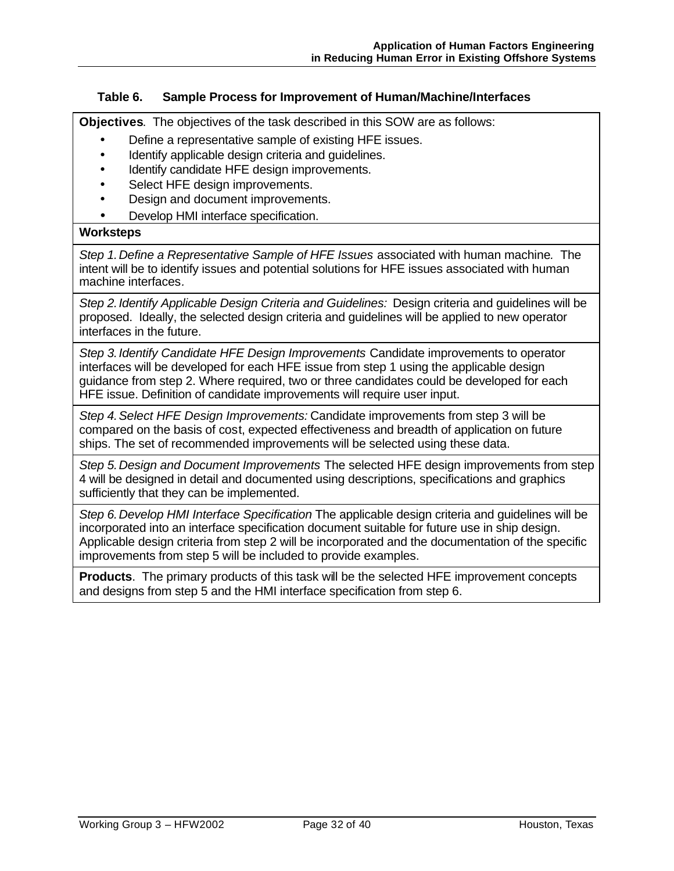### **Table 6. Sample Process for Improvement of Human/Machine/Interfaces**

**Objectives**. The objectives of the task described in this SOW are as follows:

- Define a representative sample of existing HFE issues.
- Identify applicable design criteria and guidelines.
- Identify candidate HFE design improvements.
- Select HFE design improvements.
- Design and document improvements.
- Develop HMI interface specification.

#### **Worksteps**

*Step 1.Define a Representative Sample of HFE Issues* associated with human machine*.* The intent will be to identify issues and potential solutions for HFE issues associated with human machine interfaces*.*

*Step 2.Identify Applicable Design Criteria and Guidelines:* Design criteria and guidelines will be proposed. Ideally, the selected design criteria and guidelines will be applied to new operator interfaces in the future.

*Step 3.Identify Candidate HFE Design Improvements* Candidate improvements to operator interfaces will be developed for each HFE issue from step 1 using the applicable design guidance from step 2. Where required, two or three candidates could be developed for each HFE issue. Definition of candidate improvements will require user input.

*Step 4.Select HFE Design Improvements:* Candidate improvements from step 3 will be compared on the basis of cost, expected effectiveness and breadth of application on future ships. The set of recommended improvements will be selected using these data.

*Step 5.Design and Document Improvements* The selected HFE design improvements from step 4 will be designed in detail and documented using descriptions, specifications and graphics sufficiently that they can be implemented.

*Step 6.Develop HMI Interface Specification* The applicable design criteria and guidelines will be incorporated into an interface specification document suitable for future use in ship design. Applicable design criteria from step 2 will be incorporated and the documentation of the specific improvements from step 5 will be included to provide examples.

**Products**. The primary products of this task will be the selected HFE improvement concepts and designs from step 5 and the HMI interface specification from step 6.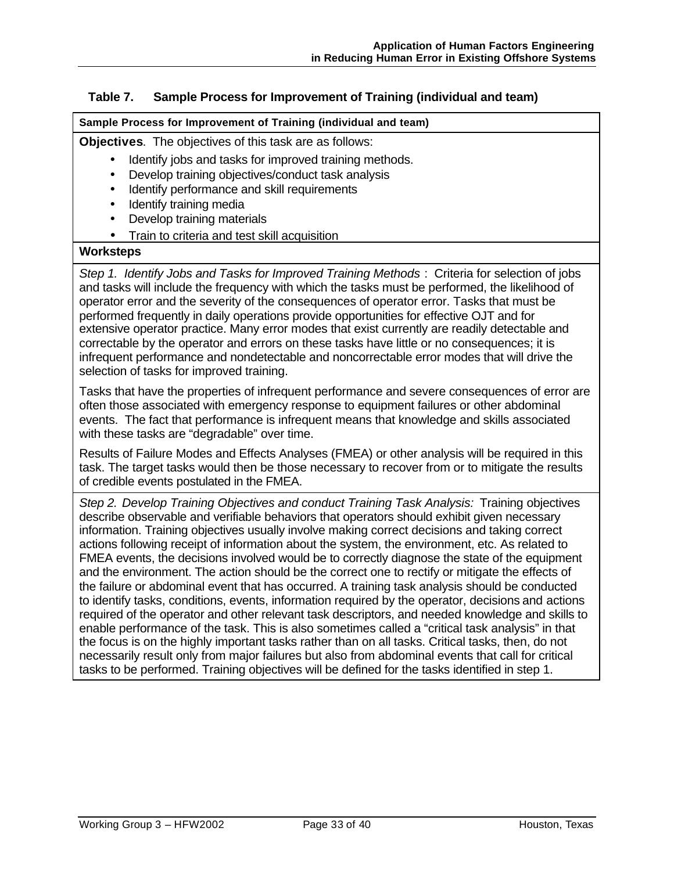### **Table 7. Sample Process for Improvement of Training (individual and team)**

#### **Sample Process for Improvement of Training (individual and team)**

**Objectives**. The objectives of this task are as follows:

- Identify jobs and tasks for improved training methods.
- Develop training objectives/conduct task analysis
- Identify performance and skill requirements
- Identify training media
- Develop training materials
- Train to criteria and test skill acquisition

### **Worksteps**

*Step 1. Identify Jobs and Tasks for Improved Training Methods* : Criteria for selection of jobs and tasks will include the frequency with which the tasks must be performed, the likelihood of operator error and the severity of the consequences of operator error. Tasks that must be performed frequently in daily operations provide opportunities for effective OJT and for extensive operator practice. Many error modes that exist currently are readily detectable and correctable by the operator and errors on these tasks have little or no consequences; it is infrequent performance and nondetectable and noncorrectable error modes that will drive the selection of tasks for improved training.

Tasks that have the properties of infrequent performance and severe consequences of error are often those associated with emergency response to equipment failures or other abdominal events. The fact that performance is infrequent means that knowledge and skills associated with these tasks are "degradable" over time.

Results of Failure Modes and Effects Analyses (FMEA) or other analysis will be required in this task. The target tasks would then be those necessary to recover from or to mitigate the results of credible events postulated in the FMEA.

*Step 2. Develop Training Objectives and conduct Training Task Analysis:* Training objectives describe observable and verifiable behaviors that operators should exhibit given necessary information. Training objectives usually involve making correct decisions and taking correct actions following receipt of information about the system, the environment, etc. As related to FMEA events, the decisions involved would be to correctly diagnose the state of the equipment and the environment. The action should be the correct one to rectify or mitigate the effects of the failure or abdominal event that has occurred. A training task analysis should be conducted to identify tasks, conditions, events, information required by the operator, decisions and actions required of the operator and other relevant task descriptors, and needed knowledge and skills to enable performance of the task. This is also sometimes called a "critical task analysis" in that the focus is on the highly important tasks rather than on all tasks. Critical tasks, then, do not necessarily result only from major failures but also from abdominal events that call for critical tasks to be performed. Training objectives will be defined for the tasks identified in step 1.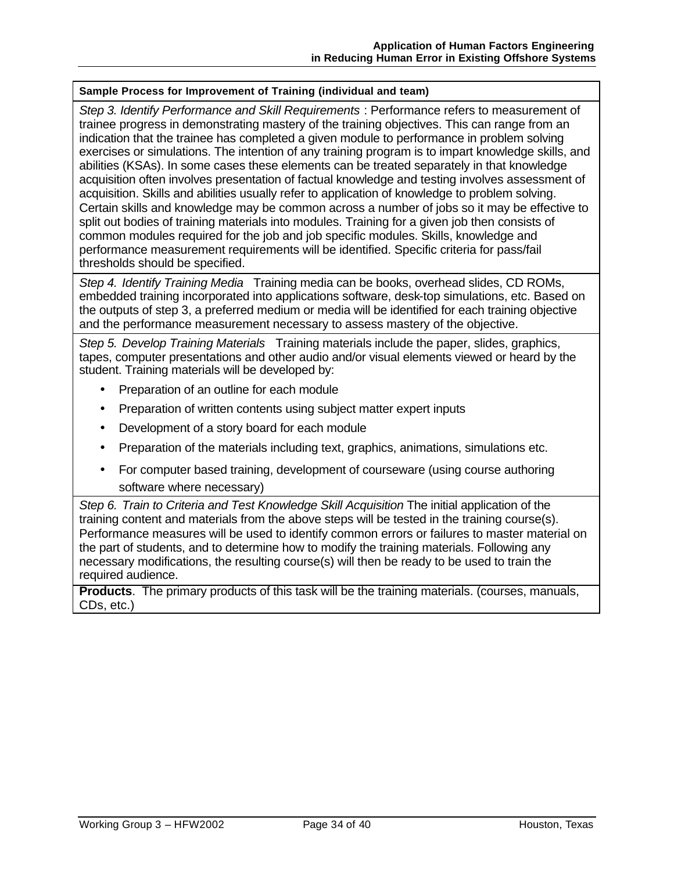## **Sample Process for Improvement of Training (individual and team)**

*Step 3. Identify Performance and Skill Requirements* : Performance refers to measurement of trainee progress in demonstrating mastery of the training objectives. This can range from an indication that the trainee has completed a given module to performance in problem solving exercises or simulations. The intention of any training program is to impart knowledge skills, and abilities (KSAs). In some cases these elements can be treated separately in that knowledge acquisition often involves presentation of factual knowledge and testing involves assessment of acquisition. Skills and abilities usually refer to application of knowledge to problem solving. Certain skills and knowledge may be common across a number of jobs so it may be effective to split out bodies of training materials into modules. Training for a given job then consists of common modules required for the job and job specific modules. Skills, knowledge and performance measurement requirements will be identified. Specific criteria for pass/fail thresholds should be specified.

*Step 4. Identify Training Media* Training media can be books, overhead slides, CD ROMs, embedded training incorporated into applications software, desk-top simulations, etc. Based on the outputs of step 3, a preferred medium or media will be identified for each training objective and the performance measurement necessary to assess mastery of the objective.

*Step 5. Develop Training Materials* Training materials include the paper, slides, graphics, tapes, computer presentations and other audio and/or visual elements viewed or heard by the student. Training materials will be developed by:

- Preparation of an outline for each module
- Preparation of written contents using subject matter expert inputs
- Development of a story board for each module
- Preparation of the materials including text, graphics, animations, simulations etc.
- For computer based training, development of courseware (using course authoring software where necessary)

*Step 6. Train to Criteria and Test Knowledge Skill Acquisition* The initial application of the training content and materials from the above steps will be tested in the training course(s). Performance measures will be used to identify common errors or failures to master material on the part of students, and to determine how to modify the training materials. Following any necessary modifications, the resulting course(s) will then be ready to be used to train the required audience.

**Products**. The primary products of this task will be the training materials. (courses, manuals, CDs, etc.)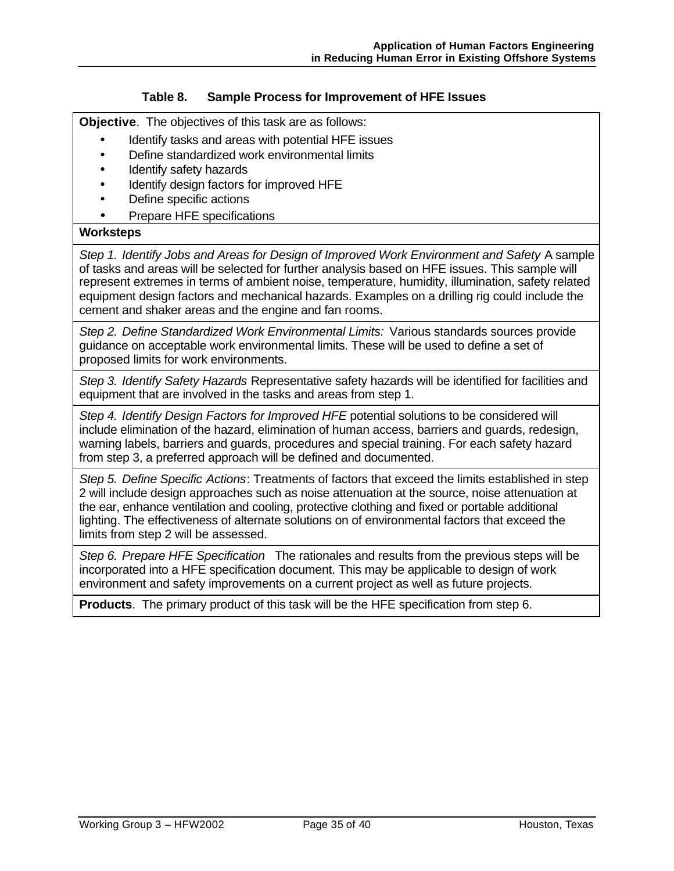### **Table 8. Sample Process for Improvement of HFE Issues**

**Objective**. The objectives of this task are as follows:

- Identify tasks and areas with potential HFE issues
- Define standardized work environmental limits
- Identify safety hazards
- Identify design factors for improved HFE
- Define specific actions
- Prepare HFE specifications

#### **Worksteps**

*Step 1. Identify Jobs and Areas for Design of Improved Work Environment and Safety* A sample of tasks and areas will be selected for further analysis based on HFE issues. This sample will represent extremes in terms of ambient noise, temperature, humidity, illumination, safety related equipment design factors and mechanical hazards. Examples on a drilling rig could include the cement and shaker areas and the engine and fan rooms.

*Step 2. Define Standardized Work Environmental Limits:* Various standards sources provide guidance on acceptable work environmental limits. These will be used to define a set of proposed limits for work environments.

*Step 3. Identify Safety Hazards* Representative safety hazards will be identified for facilities and equipment that are involved in the tasks and areas from step 1.

*Step 4. Identify Design Factors for Improved HFE* potential solutions to be considered will include elimination of the hazard, elimination of human access, barriers and guards, redesign, warning labels, barriers and guards, procedures and special training. For each safety hazard from step 3, a preferred approach will be defined and documented.

*Step 5. Define Specific Actions*: Treatments of factors that exceed the limits established in step 2 will include design approaches such as noise attenuation at the source, noise attenuation at the ear, enhance ventilation and cooling, protective clothing and fixed or portable additional lighting. The effectiveness of alternate solutions on of environmental factors that exceed the limits from step 2 will be assessed.

*Step 6. Prepare HFE Specification* The rationales and results from the previous steps will be incorporated into a HFE specification document. This may be applicable to design of work environment and safety improvements on a current project as well as future projects.

**Products**. The primary product of this task will be the HFE specification from step 6.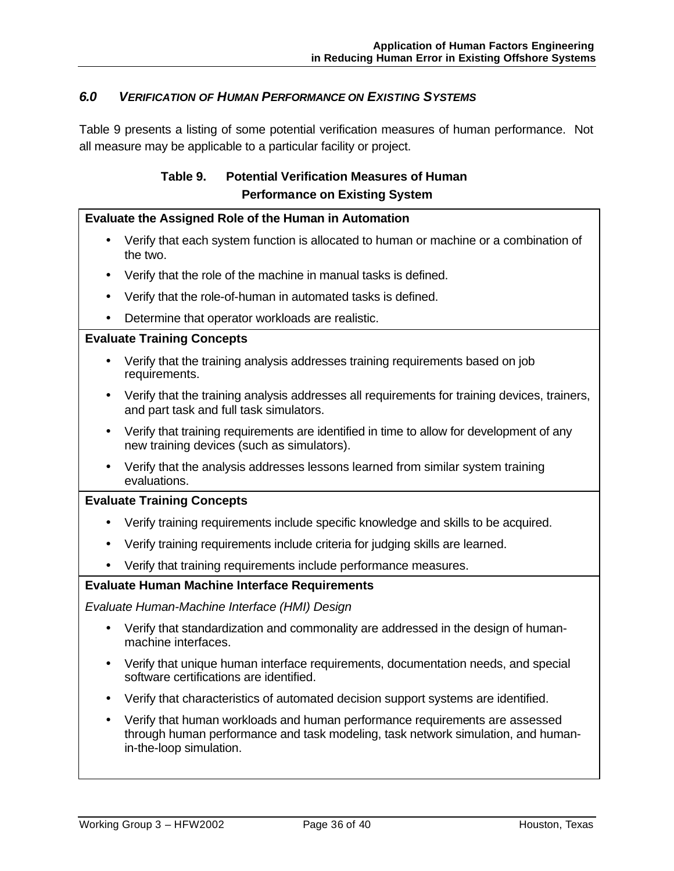# *6.0 VERIFICATION OF HUMAN PERFORMANCE ON EXISTING SYSTEMS*

Table 9 presents a listing of some potential verification measures of human performance. Not all measure may be applicable to a particular facility or project.

# **Table 9. Potential Verification Measures of Human Performance on Existing System**

#### **Evaluate the Assigned Role of the Human in Automation**

- Verify that each system function is allocated to human or machine or a combination of the two.
- Verify that the role of the machine in manual tasks is defined.
- Verify that the role-of-human in automated tasks is defined.
- Determine that operator workloads are realistic.

### **Evaluate Training Concepts**

- Verify that the training analysis addresses training requirements based on job requirements.
- Verify that the training analysis addresses all requirements for training devices, trainers, and part task and full task simulators.
- Verify that training requirements are identified in time to allow for development of any new training devices (such as simulators).
- Verify that the analysis addresses lessons learned from similar system training evaluations.

### **Evaluate Training Concepts**

- Verify training requirements include specific knowledge and skills to be acquired.
- Verify training requirements include criteria for judging skills are learned.
- Verify that training requirements include performance measures.

### **Evaluate Human Machine Interface Requirements**

*Evaluate Human-Machine Interface (HMI) Design* 

- Verify that standardization and commonality are addressed in the design of humanmachine interfaces.
- Verify that unique human interface requirements, documentation needs, and special software certifications are identified.
- Verify that characteristics of automated decision support systems are identified.
- Verify that human workloads and human performance requirements are assessed through human performance and task modeling, task network simulation, and humanin-the-loop simulation.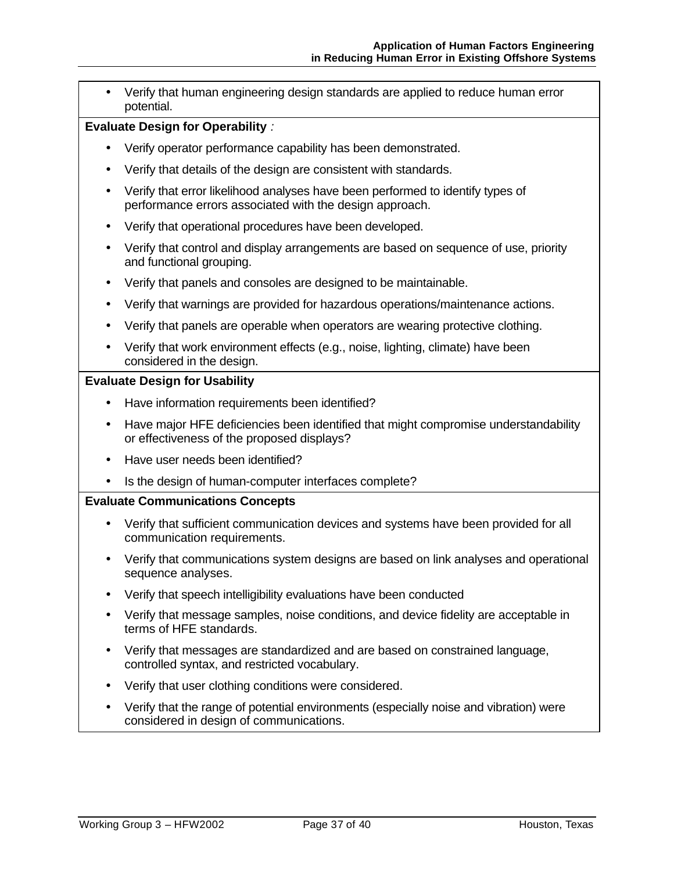• Verify that human engineering design standards are applied to reduce human error potential.

### **Evaluate Design for Operability** *:*

- Verify operator performance capability has been demonstrated.
- Verify that details of the design are consistent with standards.
- Verify that error likelihood analyses have been performed to identify types of performance errors associated with the design approach.
- Verify that operational procedures have been developed.
- Verify that control and display arrangements are based on sequence of use, priority and functional grouping.
- Verify that panels and consoles are designed to be maintainable.
- Verify that warnings are provided for hazardous operations/maintenance actions.
- Verify that panels are operable when operators are wearing protective clothing.
- Verify that work environment effects (e.g., noise, lighting, climate) have been considered in the design.

### **Evaluate Design for Usability**

- Have information requirements been identified?
- Have major HFE deficiencies been identified that might compromise understandability or effectiveness of the proposed displays?
- Have user needs been identified?
- Is the design of human-computer interfaces complete?

### **Evaluate Communications Concepts**

- Verify that sufficient communication devices and systems have been provided for all communication requirements.
- Verify that communications system designs are based on link analyses and operational sequence analyses.
- Verify that speech intelligibility evaluations have been conducted
- Verify that message samples, noise conditions, and device fidelity are acceptable in terms of HFE standards.
- Verify that messages are standardized and are based on constrained language, controlled syntax, and restricted vocabulary.
- Verify that user clothing conditions were considered.
- Verify that the range of potential environments (especially noise and vibration) were considered in design of communications.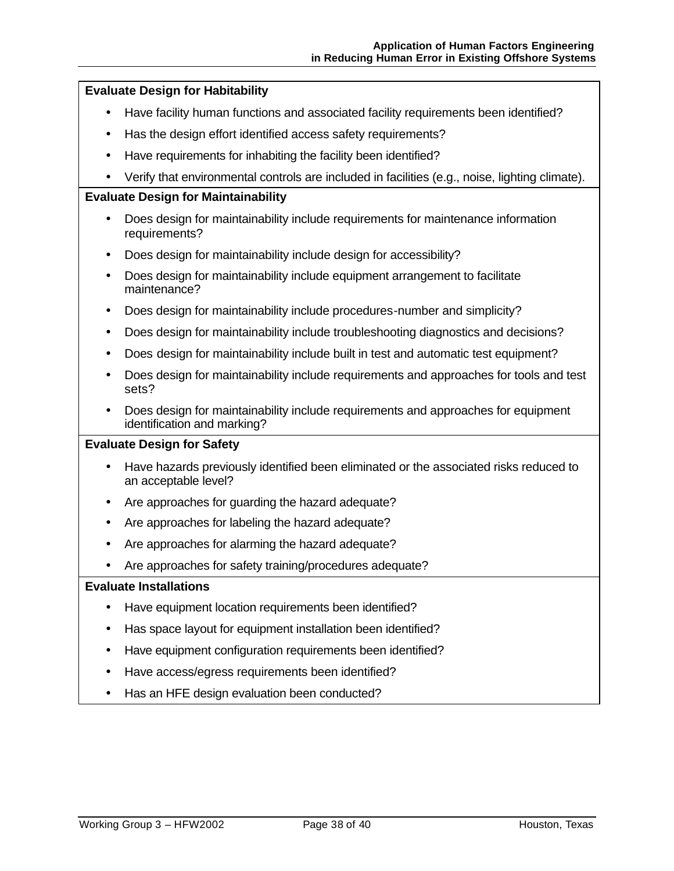### **Evaluate Design for Habitability**

- Have facility human functions and associated facility requirements been identified?
- Has the design effort identified access safety requirements?
- Have requirements for inhabiting the facility been identified?
- Verify that environmental controls are included in facilities (e.g., noise, lighting climate).

#### **Evaluate Design for Maintainability**

- Does design for maintainability include requirements for maintenance information requirements?
- Does design for maintainability include design for accessibility?
- Does design for maintainability include equipment arrangement to facilitate maintenance?
- Does design for maintainability include procedures-number and simplicity?
- Does design for maintainability include troubleshooting diagnostics and decisions?
- Does design for maintainability include built in test and automatic test equipment?
- Does design for maintainability include requirements and approaches for tools and test sets?
- Does design for maintainability include requirements and approaches for equipment identification and marking?

### **Evaluate Design for Safety**

- Have hazards previously identified been eliminated or the associated risks reduced to an acceptable level?
- Are approaches for guarding the hazard adequate?
- Are approaches for labeling the hazard adequate?
- Are approaches for alarming the hazard adequate?
- Are approaches for safety training/procedures adequate?

### **Evaluate Installations**

- Have equipment location requirements been identified?
- Has space layout for equipment installation been identified?
- Have equipment configuration requirements been identified?
- Have access/egress requirements been identified?
- Has an HFE design evaluation been conducted?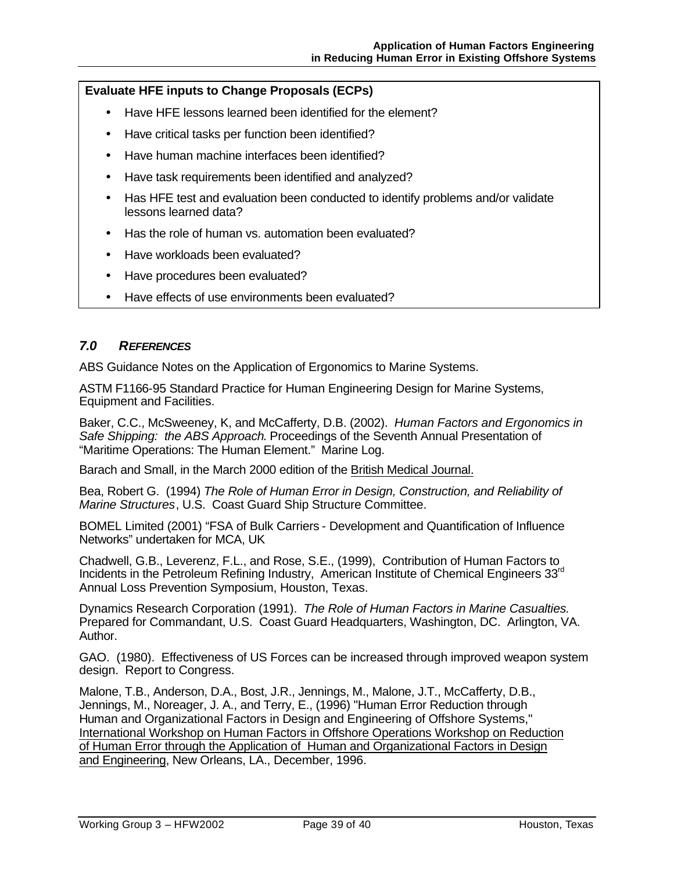# **Evaluate HFE inputs to Change Proposals (ECPs)**

- Have HFE lessons learned been identified for the element?
- Have critical tasks per function been identified?
- Have human machine interfaces been identified?
- Have task requirements been identified and analyzed?
- Has HFE test and evaluation been conducted to identify problems and/or validate lessons learned data?
- Has the role of human vs. automation been evaluated?
- Have workloads been evaluated?
- Have procedures been evaluated?
- Have effects of use environments been evaluated?

### *7.0 REFERENCES*

ABS Guidance Notes on the Application of Ergonomics to Marine Systems.

ASTM F1166-95 Standard Practice for Human Engineering Design for Marine Systems, Equipment and Facilities.

Baker, C.C., McSweeney, K, and McCafferty, D.B. (2002). *Human Factors and Ergonomics in Safe Shipping: the ABS Approach*. Proceedings of the Seventh Annual Presentation of "Maritime Operations: The Human Element." Marine Log.

Barach and Small, in the March 2000 edition of the British Medical Journal.

Bea, Robert G. (1994) *The Role of Human Error in Design, Construction, and Reliability of Marine Structures*, U.S. Coast Guard Ship Structure Committee.

BOMEL Limited (2001) "FSA of Bulk Carriers - Development and Quantification of Influence Networks" undertaken for MCA, UK

Chadwell, G.B., Leverenz, F.L., and Rose, S.E., (1999), Contribution of Human Factors to Incidents in the Petroleum Refining Industry, American Institute of Chemical Engineers 33<sup>rd</sup> Annual Loss Prevention Symposium, Houston, Texas.

Dynamics Research Corporation (1991). *The Role of Human Factors in Marine Casualties.*  Prepared for Commandant, U.S. Coast Guard Headquarters, Washington, DC. Arlington, VA. Author.

GAO. (1980). Effectiveness of US Forces can be increased through improved weapon system design. Report to Congress.

Malone, T.B., Anderson, D.A., Bost, J.R., Jennings, M., Malone, J.T., McCafferty, D.B., Jennings, M., Noreager, J. A., and Terry, E., (1996) "Human Error Reduction through Human and Organizational Factors in Design and Engineering of Offshore Systems," International Workshop on Human Factors in Offshore Operations Workshop on Reduction of Human Error through the Application of Human and Organizational Factors in Design and Engineering, New Orleans, LA., December, 1996.